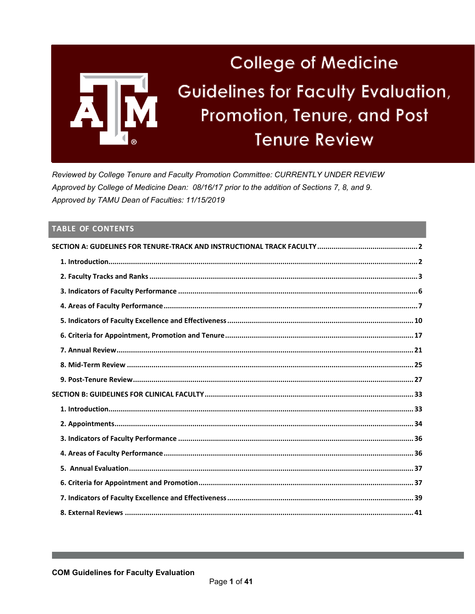

Reviewed by College Tenure and Faculty Promotion Committee: CURRENTLY UNDER REVIEW Approved by College of Medicine Dean: 08/16/17 prior to the addition of Sections 7, 8, and 9. Approved by TAMU Dean of Faculties: 11/15/2019

# **TABLE OF CONTENTS**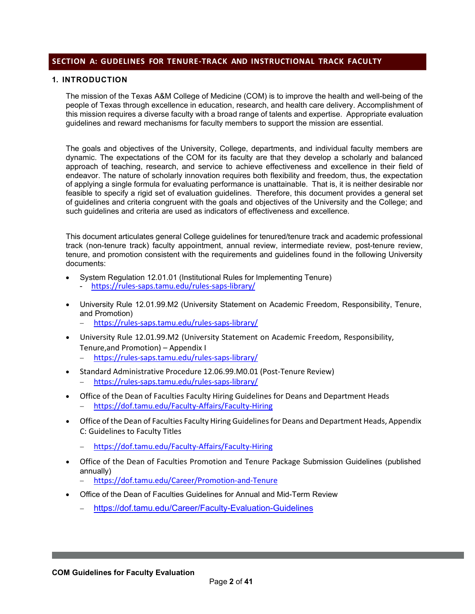## <span id="page-1-0"></span>**SECTION A: GUDELINES FOR TENURE-TRACK AND INSTRUCTIONAL TRACK FACULTY**

## <span id="page-1-1"></span>**1. INTRODUCTION**

The mission of the Texas A&M College of Medicine (COM) is to improve the health and well-being of the people of Texas through excellence in education, research, and health care delivery. Accomplishment of this mission requires a diverse faculty with a broad range of talents and expertise. Appropriate evaluation guidelines and reward mechanisms for faculty members to support the mission are essential.

The goals and objectives of the University, College, departments, and individual faculty members are dynamic. The expectations of the COM for its faculty are that they develop a scholarly and balanced approach of teaching, research, and service to achieve effectiveness and excellence in their field of endeavor. The nature of scholarly innovation requires both flexibility and freedom, thus, the expectation of applying a single formula for evaluating performance is unattainable. That is, it is neither desirable nor feasible to specify a rigid set of evaluation guidelines. Therefore, this document provides a general set of guidelines and criteria congruent with the goals and objectives of the University and the College; and such guidelines and criteria are used as indicators of effectiveness and excellence.

This document articulates general College guidelines for tenured/tenure track and academic professional track (non-tenure track) faculty appointment, annual review, intermediate review, post-tenure review, tenure, and promotion consistent with the requirements and guidelines found in the following University documents:

- System Regulation 12.01.01 (Institutional Rules for Implementing Tenure) - <https://rules-saps.tamu.edu/rules-saps-library/>
- University Rule 12.01.99.M2 (University Statement on Academic Freedom, Responsibility, Tenure, and Promotion)
	- − <https://rules-saps.tamu.edu/rules-saps-library/>
- University Rule 12.01.99.M2 (University Statement on Academic Freedom, Responsibility, Tenure,and Promotion) – Appendix I
	- − <https://rules-saps.tamu.edu/rules-saps-library/>
- Standard Administrative Procedure 12.06.99.M0.01 (Post-Tenure Review) − <https://rules-saps.tamu.edu/rules-saps-library/>
- Office of the Dean of Faculties Faculty Hiring Guidelines for Deans and Department Heads − <https://dof.tamu.edu/Faculty-Affairs/Faculty-Hiring>
- Office of the Dean of Faculties Faculty Hiring Guidelines for Deans and Department Heads, Appendix C: Guidelines to Faculty Titles
	- − <https://dof.tamu.edu/Faculty-Affairs/Faculty-Hiring>
- Office of the Dean of Faculties Promotion and Tenure Package Submission Guidelines (published annually)
	- − <https://dof.tamu.edu/Career/Promotion-and-Tenure>
- Office of the Dean of Faculties Guidelines for Annual and Mid-Term Review
	- − <https://dof.tamu.edu/Career/Faculty-Evaluation-Guidelines>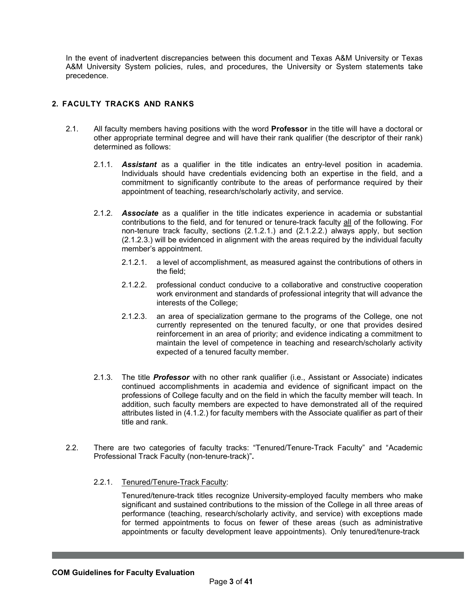In the event of inadvertent discrepancies between this document and Texas A&M University or Texas A&M University System policies, rules, and procedures, the University or System statements take precedence.

## <span id="page-2-0"></span>**2. FACULTY TRACKS AND RANKS**

- 2.1. All faculty members having positions with the word **Professor** in the title will have a doctoral or other appropriate terminal degree and will have their rank qualifier (the descriptor of their rank) determined as follows:
	- 2.1.1. *Assistant* as a qualifier in the title indicates an entry-level position in academia. Individuals should have credentials evidencing both an expertise in the field, and a commitment to significantly contribute to the areas of performance required by their appointment of teaching, research/scholarly activity, and service.
	- 2.1.2. *Associate* as a qualifier in the title indicates experience in academia or substantial contributions to the field, and for tenured or tenure-track faculty all of the following. For non-tenure track faculty, sections (2.1.2.1.) and (2.1.2.2.) always apply, but section (2.1.2.3.) will be evidenced in alignment with the areas required by the individual faculty member's appointment.
		- 2.1.2.1. a level of accomplishment, as measured against the contributions of others in the field;
		- 2.1.2.2. professional conduct conducive to a collaborative and constructive cooperation work environment and standards of professional integrity that will advance the interests of the College;
		- 2.1.2.3. an area of specialization germane to the programs of the College, one not currently represented on the tenured faculty, or one that provides desired reinforcement in an area of priority; and evidence indicating a commitment to maintain the level of competence in teaching and research/scholarly activity expected of a tenured faculty member.
	- 2.1.3. The title *Professor* with no other rank qualifier (i.e., Assistant or Associate) indicates continued accomplishments in academia and evidence of significant impact on the professions of College faculty and on the field in which the faculty member will teach. In addition, such faculty members are expected to have demonstrated all of the required attributes listed in (4.1.2.) for faculty members with the Associate qualifier as part of their title and rank.
- 2.2. There are two categories of faculty tracks: "Tenured/Tenure-Track Faculty" and "Academic Professional Track Faculty (non-tenure-track)"**.**
	- 2.2.1. Tenured/Tenure-Track Faculty:

Tenured/tenure-track titles recognize University-employed faculty members who make significant and sustained contributions to the mission of the College in all three areas of performance (teaching, research/scholarly activity, and service) with exceptions made for termed appointments to focus on fewer of these areas (such as administrative appointments or faculty development leave appointments). Only tenured/tenure-track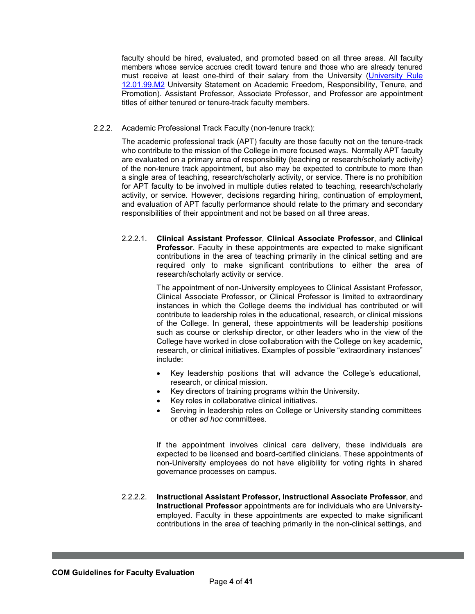faculty should be hired, evaluated, and promoted based on all three areas. All faculty members whose service accrues credit toward tenure and those who are already tenured must receive at least one-third of their salary from the University [\(University Rule](https://rules-saps.tamu.edu/rules-saps-library/) [12.01.99.M2](https://rules-saps.tamu.edu/PDFs/12.01.99.M2.pdf) University Statement on Academic Freedom, Responsibility, Tenure, and Promotion). Assistant Professor, Associate Professor, and Professor are appointment titles of either tenured or tenure-track faculty members.

### 2.2.2. Academic Professional Track Faculty (non-tenure track):

The academic professional track (APT) faculty are those faculty not on the tenure-track who contribute to the mission of the College in more focused ways. Normally APT faculty are evaluated on a primary area of responsibility (teaching or research/scholarly activity) of the non-tenure track appointment, but also may be expected to contribute to more than a single area of teaching, research/scholarly activity, or service. There is no prohibition for APT faculty to be involved in multiple duties related to teaching, research/scholarly activity, or service. However, decisions regarding hiring, continuation of employment, and evaluation of APT faculty performance should relate to the primary and secondary responsibilities of their appointment and not be based on all three areas.

2.2.2.1. **Clinical Assistant Professor**, **Clinical Associate Professor**, and **Clinical Professor**. Faculty in these appointments are expected to make significant contributions in the area of teaching primarily in the clinical setting and are required only to make significant contributions to either the area of research/scholarly activity or service.

> The appointment of non-University employees to Clinical Assistant Professor, Clinical Associate Professor, or Clinical Professor is limited to extraordinary instances in which the College deems the individual has contributed or will contribute to leadership roles in the educational, research, or clinical missions of the College. In general, these appointments will be leadership positions such as course or clerkship director, or other leaders who in the view of the College have worked in close collaboration with the College on key academic, research, or clinical initiatives. Examples of possible "extraordinary instances" include:

- Key leadership positions that will advance the College's educational, research, or clinical mission.
- Key directors of training programs within the University.
- Key roles in collaborative clinical initiatives.
- Serving in leadership roles on College or University standing committees or other *ad hoc* committees.

If the appointment involves clinical care delivery, these individuals are expected to be licensed and board-certified clinicians. These appointments of non-University employees do not have eligibility for voting rights in shared governance processes on campus.

2.2.2.2. **Instructional Assistant Professor, Instructional Associate Professor**, and **Instructional Professor** appointments are for individuals who are Universityemployed. Faculty in these appointments are expected to make significant contributions in the area of teaching primarily in the non-clinical settings, and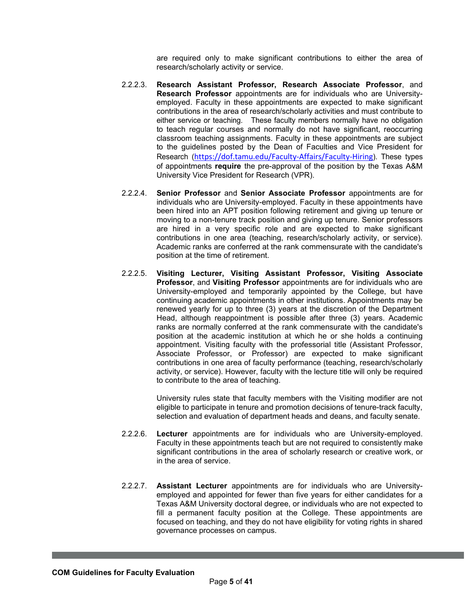are required only to make significant contributions to either the area of research/scholarly activity or service.

- 2.2.2.3. **Research Assistant Professor, Research Associate Professor**, and **Research Professor** appointments are for individuals who are Universityemployed. Faculty in these appointments are expected to make significant contributions in the area of research/scholarly activities and must contribute to either service or teaching. These faculty members normally have no obligation to teach regular courses and normally do not have significant, reoccurring classroom teaching assignments. Faculty in these appointments are subject to the guidelines posted by the Dean of Faculties and Vice President for Research (<https://dof.tamu.edu/Faculty-Affairs/Faculty-Hiring>). These types of appointments **require** the pre-approval of the position by the Texas A&M University Vice President for Research (VPR).
- 2.2.2.4. **Senior Professor** and **Senior Associate Professor** appointments are for individuals who are University-employed. Faculty in these appointments have been hired into an APT position following retirement and giving up tenure or moving to a non-tenure track position and giving up tenure. Senior professors are hired in a very specific role and are expected to make significant contributions in one area (teaching, research/scholarly activity, or service). Academic ranks are conferred at the rank commensurate with the candidate's position at the time of retirement.
- 2.2.2.5. **Visiting Lecturer, Visiting Assistant Professor, Visiting Associate Professor**, and **Visiting Professor** appointments are for individuals who are University-employed and temporarily appointed by the College, but have continuing academic appointments in other institutions. Appointments may be renewed yearly for up to three (3) years at the discretion of the Department Head, although reappointment is possible after three (3) years. Academic ranks are normally conferred at the rank commensurate with the candidate's position at the academic institution at which he or she holds a continuing appointment. Visiting faculty with the professorial title (Assistant Professor, Associate Professor, or Professor) are expected to make significant contributions in one area of faculty performance (teaching, research/scholarly activity, or service). However, faculty with the lecture title will only be required to contribute to the area of teaching.

University rules state that faculty members with the Visiting modifier are not eligible to participate in tenure and promotion decisions of tenure-track faculty, selection and evaluation of department heads and deans, and faculty senate.

- 2.2.2.6. **Lecturer** appointments are for individuals who are University-employed. Faculty in these appointments teach but are not required to consistently make significant contributions in the area of scholarly research or creative work, or in the area of service.
- 2.2.2.7. **Assistant Lecturer** appointments are for individuals who are Universityemployed and appointed for fewer than five years for either candidates for a Texas A&M University doctoral degree, or individuals who are not expected to fill a permanent faculty position at the College. These appointments are focused on teaching, and they do not have eligibility for voting rights in shared governance processes on campus.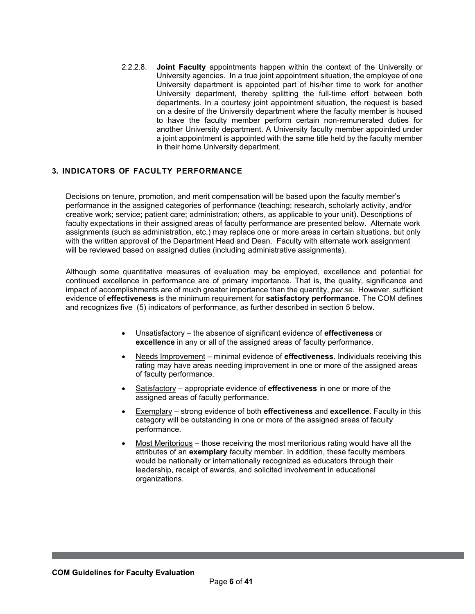2.2.2.8. **Joint Faculty** appointments happen within the context of the University or University agencies. In a true joint appointment situation, the employee of one University department is appointed part of his/her time to work for another University department, thereby splitting the full-time effort between both departments. In a courtesy joint appointment situation, the request is based on a desire of the University department where the faculty member is housed to have the faculty member perform certain non-remunerated duties for another University department. A University faculty member appointed under a joint appointment is appointed with the same title held by the faculty member in their home University department.

## <span id="page-5-0"></span>**3. INDICATORS OF FACULTY PERFORMANCE**

Decisions on tenure, promotion, and merit compensation will be based upon the faculty member's performance in the assigned categories of performance (teaching; research, scholarly activity, and/or creative work; service; patient care; administration; others, as applicable to your unit). Descriptions of faculty expectations in their assigned areas of faculty performance are presented below. Alternate work assignments (such as administration, etc.) may replace one or more areas in certain situations, but only with the written approval of the Department Head and Dean. Faculty with alternate work assignment will be reviewed based on assigned duties (including administrative assignments).

Although some quantitative measures of evaluation may be employed, excellence and potential for continued excellence in performance are of primary importance. That is, the quality, significance and impact of accomplishments are of much greater importance than the quantity, *per se*. However, sufficient evidence of **effectiveness** is the minimum requirement for **satisfactory performance**. The COM defines and recognizes five (5) indicators of performance, as further described in section 5 below.

- Unsatisfactory the absence of significant evidence of **effectiveness** or **excellence** in any or all of the assigned areas of faculty performance.
- Needs Improvement minimal evidence of **effectiveness**. Individuals receiving this rating may have areas needing improvement in one or more of the assigned areas of faculty performance.
- Satisfactory appropriate evidence of **effectiveness** in one or more of the assigned areas of faculty performance.
- Exemplary strong evidence of both **effectiveness** and **excellence**. Faculty in this category will be outstanding in one or more of the assigned areas of faculty performance.
- Most Meritorious those receiving the most meritorious rating would have all the attributes of an **exemplary** faculty member. In addition, these faculty members would be nationally or internationally recognized as educators through their leadership, receipt of awards, and solicited involvement in educational organizations.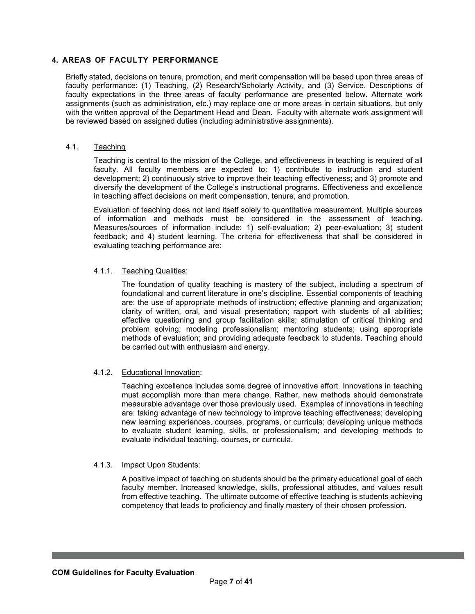## <span id="page-6-0"></span>**4. AREAS OF FACULTY PERFORMANCE**

Briefly stated, decisions on tenure, promotion, and merit compensation will be based upon three areas of faculty performance: (1) Teaching, (2) Research/Scholarly Activity, and (3) Service. Descriptions of faculty expectations in the three areas of faculty performance are presented below. Alternate work assignments (such as administration, etc.) may replace one or more areas in certain situations, but only with the written approval of the Department Head and Dean. Faculty with alternate work assignment will be reviewed based on assigned duties (including administrative assignments).

## 4.1. Teaching

Teaching is central to the mission of the College, and effectiveness in teaching is required of all faculty. All faculty members are expected to: 1) contribute to instruction and student development; 2) continuously strive to improve their teaching effectiveness; and 3) promote and diversify the development of the College's instructional programs. Effectiveness and excellence in teaching affect decisions on merit compensation, tenure, and promotion.

Evaluation of teaching does not lend itself solely to quantitative measurement. Multiple sources of information and methods must be considered in the assessment of teaching. Measures/sources of information include: 1) self-evaluation; 2) peer-evaluation; 3) student feedback; and 4) student learning. The criteria for effectiveness that shall be considered in evaluating teaching performance are:

## 4.1.1. Teaching Qualities:

The foundation of quality teaching is mastery of the subject, including a spectrum of foundational and current literature in one's discipline. Essential components of teaching are: the use of appropriate methods of instruction; effective planning and organization; clarity of written, oral, and visual presentation; rapport with students of all abilities; effective questioning and group facilitation skills; stimulation of critical thinking and problem solving; modeling professionalism; mentoring students; using appropriate methods of evaluation; and providing adequate feedback to students. Teaching should be carried out with enthusiasm and energy.

### 4.1.2. Educational Innovation:

Teaching excellence includes some degree of innovative effort. Innovations in teaching must accomplish more than mere change. Rather, new methods should demonstrate measurable advantage over those previously used. Examples of innovations in teaching are: taking advantage of new technology to improve teaching effectiveness; developing new learning experiences, courses, programs, or curricula; developing unique methods to evaluate student learning, skills, or professionalism; and developing methods to evaluate individual teaching, courses, or curricula.

## 4.1.3. Impact Upon Students:

A positive impact of teaching on students should be the primary educational goal of each faculty member. Increased knowledge, skills, professional attitudes, and values result from effective teaching. The ultimate outcome of effective teaching is students achieving competency that leads to proficiency and finally mastery of their chosen profession.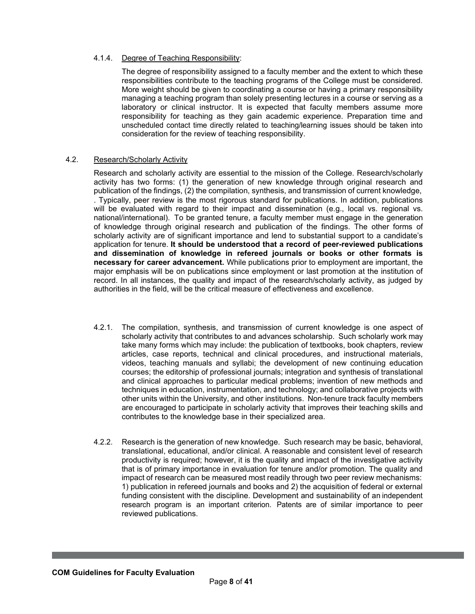## 4.1.4. Degree of Teaching Responsibility:

The degree of responsibility assigned to a faculty member and the extent to which these responsibilities contribute to the teaching programs of the College must be considered. More weight should be given to coordinating a course or having a primary responsibility managing a teaching program than solely presenting lectures in a course or serving as a laboratory or clinical instructor. It is expected that faculty members assume more responsibility for teaching as they gain academic experience. Preparation time and unscheduled contact time directly related to teaching/learning issues should be taken into consideration for the review of teaching responsibility.

## 4.2. Research/Scholarly Activity

Research and scholarly activity are essential to the mission of the College. Research/scholarly activity has two forms: (1) the generation of new knowledge through original research and publication of the findings, (2) the compilation, synthesis, and transmission of current knowledge, . Typically, peer review is the most rigorous standard for publications. In addition, publications will be evaluated with regard to their impact and dissemination (e.g., local vs. regional vs. national/international). To be granted tenure, a faculty member must engage in the generation of knowledge through original research and publication of the findings. The other forms of scholarly activity are of significant importance and lend to substantial support to a candidate's application for tenure. **It should be understood that a record of peer-reviewed publications and dissemination of knowledge in refereed journals or books or other formats is necessary for career advancement.** While publications prior to employment are important, the major emphasis will be on publications since employment or last promotion at the institution of record. In all instances, the quality and impact of the research/scholarly activity, as judged by authorities in the field, will be the critical measure of effectiveness and excellence.

- 4.2.1. The compilation, synthesis, and transmission of current knowledge is one aspect of scholarly activity that contributes to and advances scholarship. Such scholarly work may take many forms which may include: the publication of textbooks, book chapters, review articles, case reports, technical and clinical procedures, and instructional materials, videos, teaching manuals and syllabi; the development of new continuing education courses; the editorship of professional journals; integration and synthesis of translational and clinical approaches to particular medical problems; invention of new methods and techniques in education, instrumentation, and technology; and collaborative projects with other units within the University, and other institutions. Non-tenure track faculty members are encouraged to participate in scholarly activity that improves their teaching skills and contributes to the knowledge base in their specialized area.
- 4.2.2. Research is the generation of new knowledge. Such research may be basic, behavioral, translational, educational, and/or clinical. A reasonable and consistent level of research productivity is required; however, it is the quality and impact of the investigative activity that is of primary importance in evaluation for tenure and/or promotion. The quality and impact of research can be measured most readily through two peer review mechanisms: 1) publication in refereed journals and books and 2) the acquisition of federal or external funding consistent with the discipline. Development and sustainability of an independent research program is an important criterion. Patents are of similar importance to peer reviewed publications.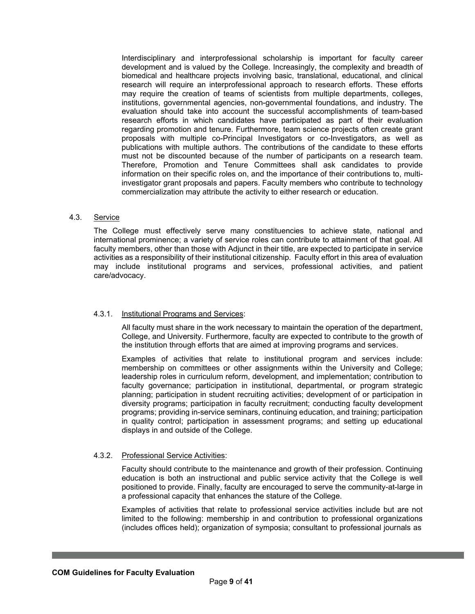Interdisciplinary and interprofessional scholarship is important for faculty career development and is valued by the College. Increasingly, the complexity and breadth of biomedical and healthcare projects involving basic, translational, educational, and clinical research will require an interprofessional approach to research efforts. These efforts may require the creation of teams of scientists from multiple departments, colleges, institutions, governmental agencies, non-governmental foundations, and industry. The evaluation should take into account the successful accomplishments of team-based research efforts in which candidates have participated as part of their evaluation regarding promotion and tenure. Furthermore, team science projects often create grant proposals with multiple co-Principal Investigators or co-Investigators, as well as publications with multiple authors. The contributions of the candidate to these efforts must not be discounted because of the number of participants on a research team. Therefore, Promotion and Tenure Committees shall ask candidates to provide information on their specific roles on, and the importance of their contributions to, multiinvestigator grant proposals and papers. Faculty members who contribute to technology commercialization may attribute the activity to either research or education.

### 4.3. Service

The College must effectively serve many constituencies to achieve state, national and international prominence; a variety of service roles can contribute to attainment of that goal. All faculty members, other than those with Adjunct in their title, are expected to participate in service activities as a responsibility of their institutional citizenship. Faculty effort in this area of evaluation may include institutional programs and services, professional activities, and patient care/advocacy.

## 4.3.1. Institutional Programs and Services:

All faculty must share in the work necessary to maintain the operation of the department, College, and University. Furthermore, faculty are expected to contribute to the growth of the institution through efforts that are aimed at improving programs and services.

Examples of activities that relate to institutional program and services include: membership on committees or other assignments within the University and College; leadership roles in curriculum reform, development, and implementation; contribution to faculty governance; participation in institutional, departmental, or program strategic planning; participation in student recruiting activities; development of or participation in diversity programs; participation in faculty recruitment; conducting faculty development programs; providing in-service seminars, continuing education, and training; participation in quality control; participation in assessment programs; and setting up educational displays in and outside of the College.

#### 4.3.2. Professional Service Activities:

Faculty should contribute to the maintenance and growth of their profession. Continuing education is both an instructional and public service activity that the College is well positioned to provide. Finally, faculty are encouraged to serve the community-at-large in a professional capacity that enhances the stature of the College.

Examples of activities that relate to professional service activities include but are not limited to the following: membership in and contribution to professional organizations (includes offices held); organization of symposia; consultant to professional journals as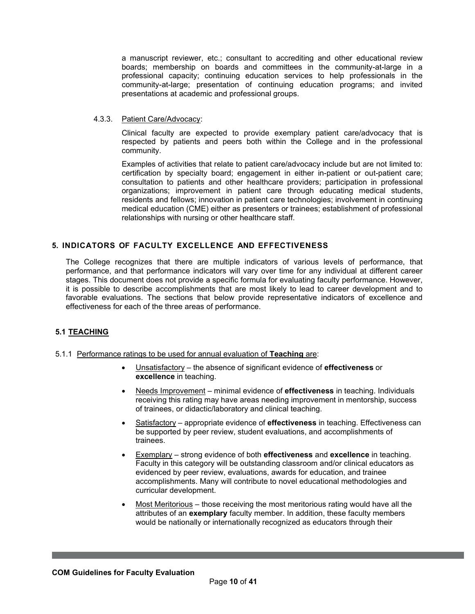a manuscript reviewer, etc.; consultant to accrediting and other educational review boards; membership on boards and committees in the community-at-large in a professional capacity; continuing education services to help professionals in the community-at-large; presentation of continuing education programs; and invited presentations at academic and professional groups.

## 4.3.3. Patient Care/Advocacy:

Clinical faculty are expected to provide exemplary patient care/advocacy that is respected by patients and peers both within the College and in the professional community.

Examples of activities that relate to patient care/advocacy include but are not limited to: certification by specialty board; engagement in either in-patient or out-patient care; consultation to patients and other healthcare providers; participation in professional organizations; improvement in patient care through educating medical students, residents and fellows; innovation in patient care technologies; involvement in continuing medical education (CME) either as presenters or trainees; establishment of professional relationships with nursing or other healthcare staff.

## <span id="page-9-0"></span>**5. INDICATORS OF FACULTY EXCELLENCE AND EFFECTIVENESS**

The College recognizes that there are multiple indicators of various levels of performance, that performance, and that performance indicators will vary over time for any individual at different career stages. This document does not provide a specific formula for evaluating faculty performance. However, it is possible to describe accomplishments that are most likely to lead to career development and to favorable evaluations. The sections that below provide representative indicators of excellence and effectiveness for each of the three areas of performance.

## **5.1 TEACHING**

- 5.1.1 Performance ratings to be used for annual evaluation of **Teaching** are:
	- Unsatisfactory the absence of significant evidence of **effectiveness** or **excellence** in teaching.
	- Needs Improvement minimal evidence of **effectiveness** in teaching. Individuals receiving this rating may have areas needing improvement in mentorship, success of trainees, or didactic/laboratory and clinical teaching.
	- Satisfactory appropriate evidence of **effectiveness** in teaching. Effectiveness can be supported by peer review, student evaluations, and accomplishments of trainees.
	- Exemplary strong evidence of both **effectiveness** and **excellence** in teaching. Faculty in this category will be outstanding classroom and/or clinical educators as evidenced by peer review, evaluations, awards for education, and trainee accomplishments. Many will contribute to novel educational methodologies and curricular development.
	- Most Meritorious those receiving the most meritorious rating would have all the attributes of an **exemplary** faculty member. In addition, these faculty members would be nationally or internationally recognized as educators through their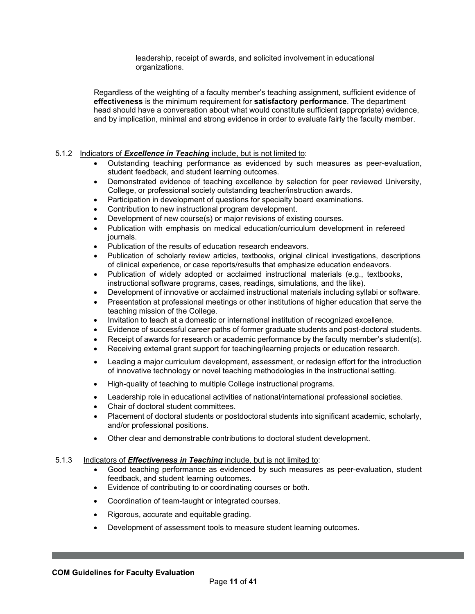leadership, receipt of awards, and solicited involvement in educational organizations.

Regardless of the weighting of a faculty member's teaching assignment, sufficient evidence of **effectiveness** is the minimum requirement for **satisfactory performance**. The department head should have a conversation about what would constitute sufficient (appropriate) evidence, and by implication, minimal and strong evidence in order to evaluate fairly the faculty member.

## 5.1.2 Indicators of *Excellence in Teaching* include, but is not limited to:

- Outstanding teaching performance as evidenced by such measures as peer-evaluation, student feedback, and student learning outcomes.
- Demonstrated evidence of teaching excellence by selection for peer reviewed University, College, or professional society outstanding teacher/instruction awards.
- Participation in development of questions for specialty board examinations.
- Contribution to new instructional program development.
- Development of new course(s) or major revisions of existing courses.
- Publication with emphasis on medical education/curriculum development in refereed journals.
- Publication of the results of education research endeavors.
- Publication of scholarly review articles, textbooks, original clinical investigations, descriptions of clinical experience, or case reports/results that emphasize education endeavors.
- Publication of widely adopted or acclaimed instructional materials (e.g., textbooks, instructional software programs, cases, readings, simulations, and the like).
- Development of innovative or acclaimed instructional materials including syllabi or software.
- Presentation at professional meetings or other institutions of higher education that serve the teaching mission of the College.
- Invitation to teach at a domestic or international institution of recognized excellence.
- Evidence of successful career paths of former graduate students and post-doctoral students.
- Receipt of awards for research or academic performance by the faculty member's student(s).
- Receiving external grant support for teaching/learning projects or education research.
- Leading a major curriculum development, assessment, or redesign effort for the introduction of innovative technology or novel teaching methodologies in the instructional setting.
- High-quality of teaching to multiple College instructional programs.
- Leadership role in educational activities of national/international professional societies.
- Chair of doctoral student committees.
- Placement of doctoral students or postdoctoral students into significant academic, scholarly, and/or professional positions.
- Other clear and demonstrable contributions to doctoral student development.

### 5.1.3 Indicators of *Effectiveness in Teaching* include, but is not limited to:

- Good teaching performance as evidenced by such measures as peer-evaluation, student feedback, and student learning outcomes.
- Evidence of contributing to or coordinating courses or both.
- Coordination of team-taught or integrated courses.
- Rigorous, accurate and equitable grading.
- Development of assessment tools to measure student learning outcomes.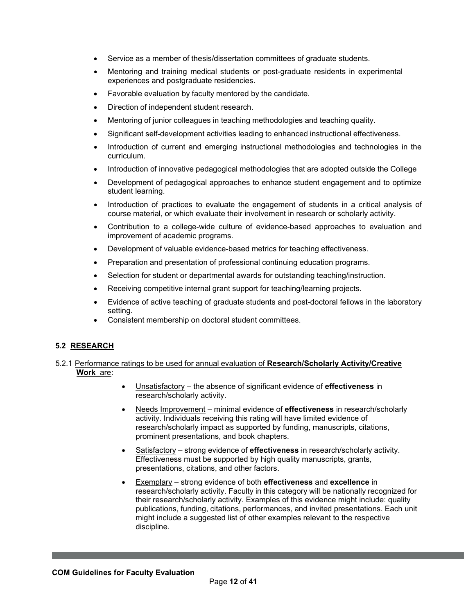- Service as a member of thesis/dissertation committees of graduate students.
- Mentoring and training medical students or post-graduate residents in experimental experiences and postgraduate residencies.
- Favorable evaluation by faculty mentored by the candidate.
- Direction of independent student research.
- Mentoring of junior colleagues in teaching methodologies and teaching quality.
- Significant self-development activities leading to enhanced instructional effectiveness.
- Introduction of current and emerging instructional methodologies and technologies in the curriculum.
- Introduction of innovative pedagogical methodologies that are adopted outside the College
- Development of pedagogical approaches to enhance student engagement and to optimize student learning.
- Introduction of practices to evaluate the engagement of students in a critical analysis of course material, or which evaluate their involvement in research or scholarly activity.
- Contribution to a college-wide culture of evidence-based approaches to evaluation and improvement of academic programs.
- Development of valuable evidence-based metrics for teaching effectiveness.
- Preparation and presentation of professional continuing education programs.
- Selection for student or departmental awards for outstanding teaching/instruction.
- Receiving competitive internal grant support for teaching/learning projects.
- Evidence of active teaching of graduate students and post-doctoral fellows in the laboratory setting.
- Consistent membership on doctoral student committees.

## **5.2 RESEARCH**

### 5.2.1 Performance ratings to be used for annual evaluation of **Research/Scholarly Activity/Creative Work** are:

- Unsatisfactory the absence of significant evidence of **effectiveness** in research/scholarly activity.
- Needs Improvement minimal evidence of **effectiveness** in research/scholarly activity. Individuals receiving this rating will have limited evidence of research/scholarly impact as supported by funding, manuscripts, citations, prominent presentations, and book chapters.
- Satisfactory strong evidence of **effectiveness** in research/scholarly activity. Effectiveness must be supported by high quality manuscripts, grants, presentations, citations, and other factors.
- Exemplary strong evidence of both **effectiveness** and **excellence** in research/scholarly activity. Faculty in this category will be nationally recognized for their research/scholarly activity. Examples of this evidence might include: quality publications, funding, citations, performances, and invited presentations. Each unit might include a suggested list of other examples relevant to the respective discipline.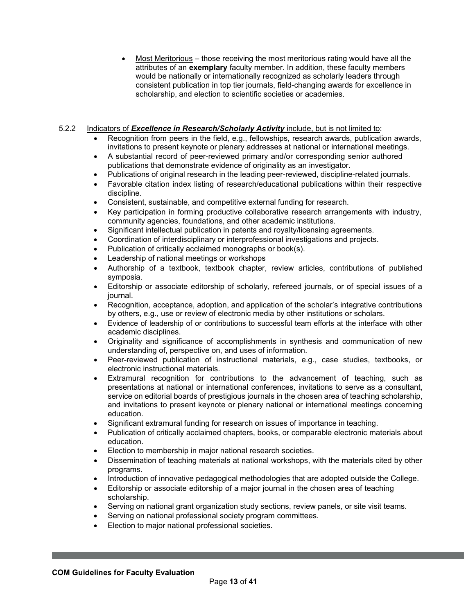• Most Meritorious – those receiving the most meritorious rating would have all the attributes of an **exemplary** faculty member. In addition, these faculty members would be nationally or internationally recognized as scholarly leaders through consistent publication in top tier journals, field-changing awards for excellence in scholarship, and election to scientific societies or academies.

## 5.2.2 Indicators of *Excellence in Research/Scholarly Activity* include, but is not limited to:

- Recognition from peers in the field, e.g., fellowships, research awards, publication awards, invitations to present keynote or plenary addresses at national or international meetings.
- A substantial record of peer-reviewed primary and/or corresponding senior authored publications that demonstrate evidence of originality as an investigator.
- Publications of original research in the leading peer-reviewed, discipline-related journals.
- Favorable citation index listing of research/educational publications within their respective discipline.
- Consistent, sustainable, and competitive external funding for research.
- Key participation in forming productive collaborative research arrangements with industry, community agencies, foundations, and other academic institutions.
- Significant intellectual publication in patents and royalty/licensing agreements.
- Coordination of interdisciplinary or interprofessional investigations and projects.
- Publication of critically acclaimed monographs or book(s).
- Leadership of national meetings or workshops
- Authorship of a textbook, textbook chapter, review articles, contributions of published symposia.
- Editorship or associate editorship of scholarly, refereed journals, or of special issues of a journal.
- Recognition, acceptance, adoption, and application of the scholar's integrative contributions by others, e.g., use or review of electronic media by other institutions or scholars.
- Evidence of leadership of or contributions to successful team efforts at the interface with other academic disciplines.
- Originality and significance of accomplishments in synthesis and communication of new understanding of, perspective on, and uses of information.
- Peer-reviewed publication of instructional materials, e.g., case studies, textbooks, or electronic instructional materials.
- Extramural recognition for contributions to the advancement of teaching, such as presentations at national or international conferences, invitations to serve as a consultant, service on editorial boards of prestigious journals in the chosen area of teaching scholarship, and invitations to present keynote or plenary national or international meetings concerning education.
- Significant extramural funding for research on issues of importance in teaching.
- Publication of critically acclaimed chapters, books, or comparable electronic materials about education.
- Election to membership in major national research societies.
- Dissemination of teaching materials at national workshops, with the materials cited by other programs.
- Introduction of innovative pedagogical methodologies that are adopted outside the College.
- Editorship or associate editorship of a major journal in the chosen area of teaching scholarship.
- Serving on national grant organization study sections, review panels, or site visit teams.
- Serving on national professional society program committees.
- Election to major national professional societies.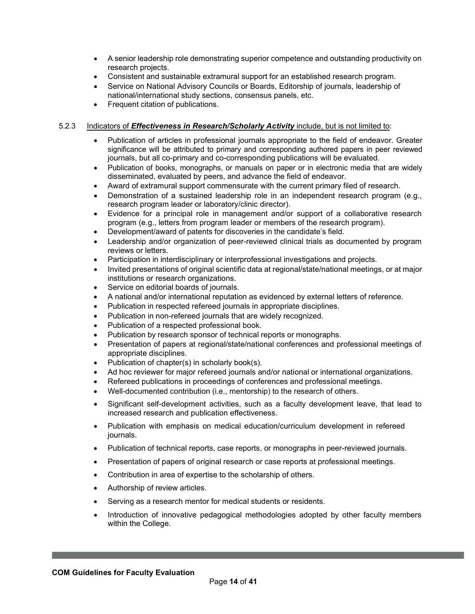- A senior leadership role demonstrating superior competence and outstanding productivity on research projects.
- Consistent and sustainable extramural support for an established research program.
- Service on National Advisory Councils or Boards, Editorship of journals, leadership of national/international study sections, consensus panels, etc.
- Frequent citation of publications.

## 5.2.3 Indicators of *Effectiveness in Research/Scholarly Activity* include, but is not limited to:

- Publication of articles in professional journals appropriate to the field of endeavor. Greater significance will be attributed to primary and corresponding authored papers in peer reviewed journals, but all co-primary and co-corresponding publications will be evaluated.
- Publication of books, monographs, or manuals on paper or in electronic media that are widely disseminated, evaluated by peers, and advance the field of endeavor.
- Award of extramural support commensurate with the current primary filed of research.
- Demonstration of a sustained leadership role in an independent research program (e.g., research program leader or laboratory/clinic director).
- Evidence for a principal role in management and/or support of a collaborative research program (e.g., letters from program leader or members of the research program).
- Development/award of patents for discoveries in the candidate's field.
- Leadership and/or organization of peer-reviewed clinical trials as documented by program reviews or letters.
- Participation in interdisciplinary or interprofessional investigations and projects.
- Invited presentations of original scientific data at regional/state/national meetings, or at major institutions or research organizations.
- Service on editorial boards of journals.
- A national and/or international reputation as evidenced by external letters of reference.
- Publication in respected refereed journals in appropriate disciplines.
- Publication in non-refereed journals that are widely recognized.
- Publication of a respected professional book.
- Publication by research sponsor of technical reports or monographs.
- Presentation of papers at regional/state/national conferences and professional meetings of appropriate disciplines.
- Publication of chapter(s) in scholarly book(s).
- Ad hoc reviewer for major refereed journals and/or national or international organizations.
- Refereed publications in proceedings of conferences and professional meetings.
- Well-documented contribution (i.e., mentorship) to the research of others.
- Significant self-development activities, such as a faculty development leave, that lead to increased research and publication effectiveness.
- Publication with emphasis on medical education/curriculum development in refereed journals.
- Publication of technical reports, case reports, or monographs in peer-reviewed journals.
- Presentation of papers of original research or case reports at professional meetings.
- Contribution in area of expertise to the scholarship of others.
- Authorship of review articles.
- Serving as a research mentor for medical students or residents.
- Introduction of innovative pedagogical methodologies adopted by other faculty members within the College.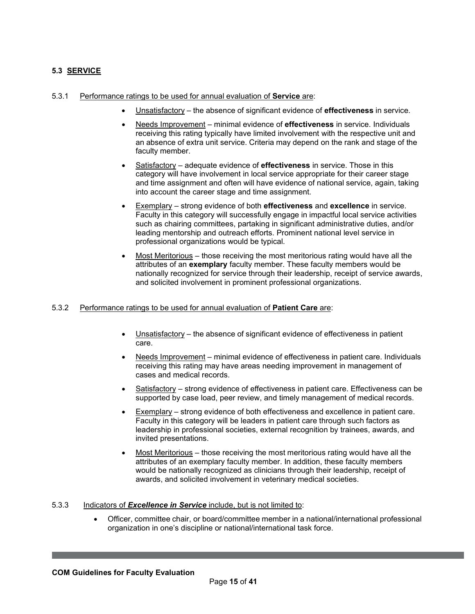# **5.3 SERVICE**

#### 5.3.1 Performance ratings to be used for annual evaluation of **Service** are:

- Unsatisfactory the absence of significant evidence of **effectiveness** in service.
- Needs Improvement minimal evidence of **effectiveness** in service. Individuals receiving this rating typically have limited involvement with the respective unit and an absence of extra unit service. Criteria may depend on the rank and stage of the faculty member.
- Satisfactory adequate evidence of **effectiveness** in service. Those in this category will have involvement in local service appropriate for their career stage and time assignment and often will have evidence of national service, again, taking into account the career stage and time assignment.
- Exemplary strong evidence of both **effectiveness** and **excellence** in service. Faculty in this category will successfully engage in impactful local service activities such as chairing committees, partaking in significant administrative duties, and/or leading mentorship and outreach efforts. Prominent national level service in professional organizations would be typical.
- Most Meritorious those receiving the most meritorious rating would have all the attributes of an **exemplary** faculty member. These faculty members would be nationally recognized for service through their leadership, receipt of service awards, and solicited involvement in prominent professional organizations.

### 5.3.2 Performance ratings to be used for annual evaluation of **Patient Care** are:

- Unsatisfactory the absence of significant evidence of effectiveness in patient care.
- Needs Improvement minimal evidence of effectiveness in patient care. Individuals receiving this rating may have areas needing improvement in management of cases and medical records.
- Satisfactory strong evidence of effectiveness in patient care. Effectiveness can be supported by case load, peer review, and timely management of medical records.
- Exemplary strong evidence of both effectiveness and excellence in patient care. Faculty in this category will be leaders in patient care through such factors as leadership in professional societies, external recognition by trainees, awards, and invited presentations.
- Most Meritorious those receiving the most meritorious rating would have all the attributes of an exemplary faculty member. In addition, these faculty members would be nationally recognized as clinicians through their leadership, receipt of awards, and solicited involvement in veterinary medical societies.

## 5.3.3 Indicators of *Excellence in Service* include, but is not limited to:

• Officer, committee chair, or board/committee member in a national/international professional organization in one's discipline or national/international task force.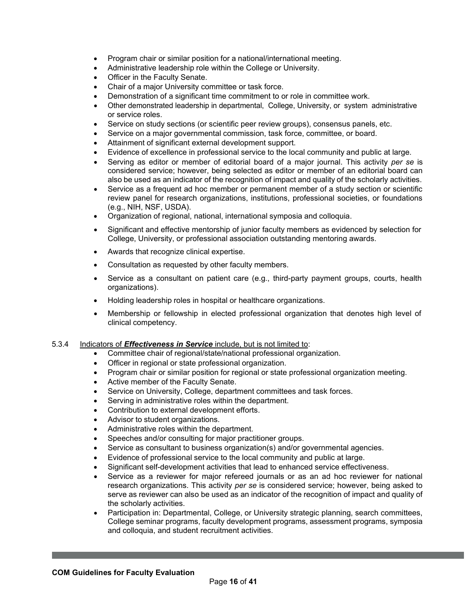- Program chair or similar position for a national/international meeting.
- Administrative leadership role within the College or University.
- Officer in the Faculty Senate.
- Chair of a major University committee or task force.
- Demonstration of a significant time commitment to or role in committee work.
- Other demonstrated leadership in departmental, College, University, or system administrative or service roles.
- Service on study sections (or scientific peer review groups), consensus panels, etc.
- Service on a major governmental commission, task force, committee, or board.
- Attainment of significant external development support.
- Evidence of excellence in professional service to the local community and public at large.
- Serving as editor or member of editorial board of a major journal. This activity *per se* is considered service; however, being selected as editor or member of an editorial board can also be used as an indicator of the recognition of impact and quality of the scholarly activities.
- Service as a frequent ad hoc member or permanent member of a study section or scientific review panel for research organizations, institutions, professional societies, or foundations (e.g., NIH, NSF, USDA).
- Organization of regional, national, international symposia and colloquia.
- Significant and effective mentorship of junior faculty members as evidenced by selection for College, University, or professional association outstanding mentoring awards.
- Awards that recognize clinical expertise.
- Consultation as requested by other faculty members.
- Service as a consultant on patient care (e.g., third-party payment groups, courts, health organizations).
- Holding leadership roles in hospital or healthcare organizations.
- Membership or fellowship in elected professional organization that denotes high level of clinical competency.

### 5.3.4 Indicators of *Effectiveness in Service* include, but is not limited to:

- Committee chair of regional/state/national professional organization.
- Officer in regional or state professional organization.
- Program chair or similar position for regional or state professional organization meeting.
- Active member of the Faculty Senate.
- Service on University, College, department committees and task forces.
- Serving in administrative roles within the department.
- Contribution to external development efforts.
- Advisor to student organizations.
- Administrative roles within the department.
- Speeches and/or consulting for major practitioner groups.
- Service as consultant to business organization(s) and/or governmental agencies.
- Evidence of professional service to the local community and public at large.
- Significant self-development activities that lead to enhanced service effectiveness.
- Service as a reviewer for major refereed journals or as an ad hoc reviewer for national research organizations. This activity *per se* is considered service; however, being asked to serve as reviewer can also be used as an indicator of the recognition of impact and quality of the scholarly activities.
- Participation in: Departmental, College, or University strategic planning, search committees, College seminar programs, faculty development programs, assessment programs, symposia and colloquia, and student recruitment activities.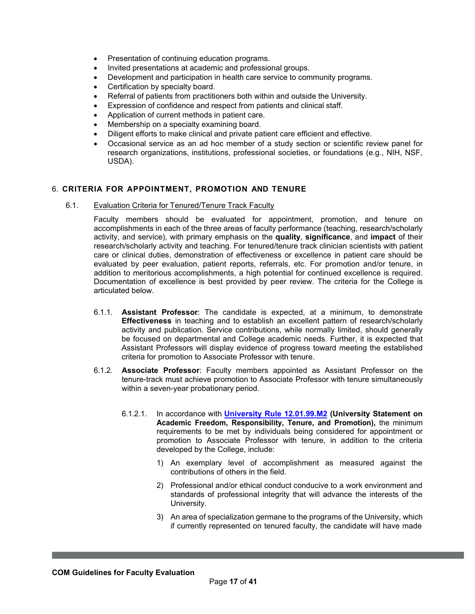- Presentation of continuing education programs.
- Invited presentations at academic and professional groups.
- Development and participation in health care service to community programs.
- Certification by specialty board.
- Referral of patients from practitioners both within and outside the University.
- Expression of confidence and respect from patients and clinical staff.
- Application of current methods in patient care.
- Membership on a specialty examining board.
- Diligent efforts to make clinical and private patient care efficient and effective.
- Occasional service as an ad hoc member of a study section or scientific review panel for research organizations, institutions, professional societies, or foundations (e.g., NIH, NSF, USDA).

## <span id="page-16-0"></span>6. **CRITERIA FOR APPOINTMENT, PROMOTION AND TENURE**

6.1. Evaluation Criteria for Tenured/Tenure Track Faculty

Faculty members should be evaluated for appointment, promotion, and tenure on accomplishments in each of the three areas of faculty performance (teaching, research/scholarly activity, and service), with primary emphasis on the **quality**, **significance**, and **impact** of their research/scholarly activity and teaching. For tenured/tenure track clinician scientists with patient care or clinical duties, demonstration of effectiveness or excellence in patient care should be evaluated by peer evaluation, patient reports, referrals, etc. For promotion and/or tenure, in addition to meritorious accomplishments, a high potential for continued excellence is required. Documentation of excellence is best provided by peer review. The criteria for the College is articulated below.

- 6.1.1. **Assistant Professor**: The candidate is expected, at a minimum, to demonstrate **Effectiveness** in teaching and to establish an excellent pattern of research/scholarly activity and publication. Service contributions, while normally limited, should generally be focused on departmental and College academic needs. Further, it is expected that Assistant Professors will display evidence of progress toward meeting the established criteria for promotion to Associate Professor with tenure.
- 6.1.2. **Associate Professor**: Faculty members appointed as Assistant Professor on the tenure-track must achieve promotion to Associate Professor with tenure simultaneously within a seven-year probationary period.
	- 6.1.2.1. In accordance with **[University Rule 12.01.99.M2](https://rules-saps.tamu.edu/rules-saps-library/) (University Statement on Academic Freedom, Responsibility, Tenure, and Promotion),** the minimum requirements to be met by individuals being considered for appointment or promotion to Associate Professor with tenure, in addition to the criteria developed by the College, include:
		- 1) An exemplary level of accomplishment as measured against the contributions of others in the field.
		- 2) Professional and/or ethical conduct conducive to a work environment and standards of professional integrity that will advance the interests of the University.
		- 3) An area of specialization germane to the programs of the University, which if currently represented on tenured faculty, the candidate will have made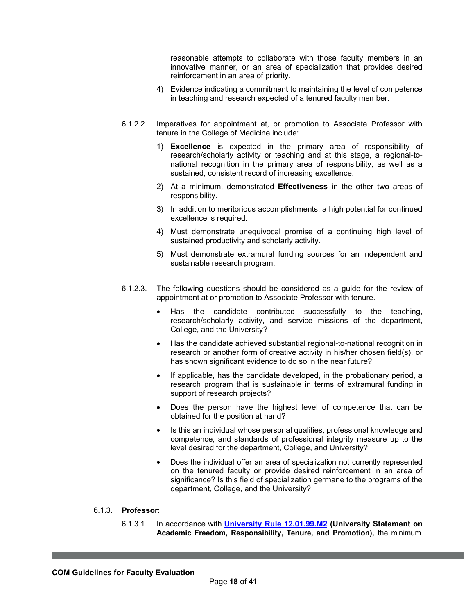reasonable attempts to collaborate with those faculty members in an innovative manner, or an area of specialization that provides desired reinforcement in an area of priority.

- 4) Evidence indicating a commitment to maintaining the level of competence in teaching and research expected of a tenured faculty member.
- 6.1.2.2. Imperatives for appointment at, or promotion to Associate Professor with tenure in the College of Medicine include:
	- 1) **Excellence** is expected in the primary area of responsibility of research/scholarly activity or teaching and at this stage, a regional-tonational recognition in the primary area of responsibility, as well as a sustained, consistent record of increasing excellence.
	- 2) At a minimum, demonstrated **Effectiveness** in the other two areas of responsibility.
	- 3) In addition to meritorious accomplishments, a high potential for continued excellence is required.
	- 4) Must demonstrate unequivocal promise of a continuing high level of sustained productivity and scholarly activity.
	- 5) Must demonstrate extramural funding sources for an independent and sustainable research program.
- 6.1.2.3. The following questions should be considered as a guide for the review of appointment at or promotion to Associate Professor with tenure.
	- Has the candidate contributed successfully to the teaching, research/scholarly activity, and service missions of the department, College, and the University?
	- Has the candidate achieved substantial regional-to-national recognition in research or another form of creative activity in his/her chosen field(s), or has shown significant evidence to do so in the near future?
	- If applicable, has the candidate developed, in the probationary period, a research program that is sustainable in terms of extramural funding in support of research projects?
	- Does the person have the highest level of competence that can be obtained for the position at hand?
	- Is this an individual whose personal qualities, professional knowledge and competence, and standards of professional integrity measure up to the level desired for the department, College, and University?
	- Does the individual offer an area of specialization not currently represented on the tenured faculty or provide desired reinforcement in an area of significance? Is this field of specialization germane to the programs of the department, College, and the University?
- 6.1.3. **Professor**:
	- 6.1.3.1. In accordance with **[University Rule 12.01.99.M2](https://rules-saps.tamu.edu/rules-saps-library/) (University Statement on Academic Freedom, Responsibility, Tenure, and Promotion),** the minimum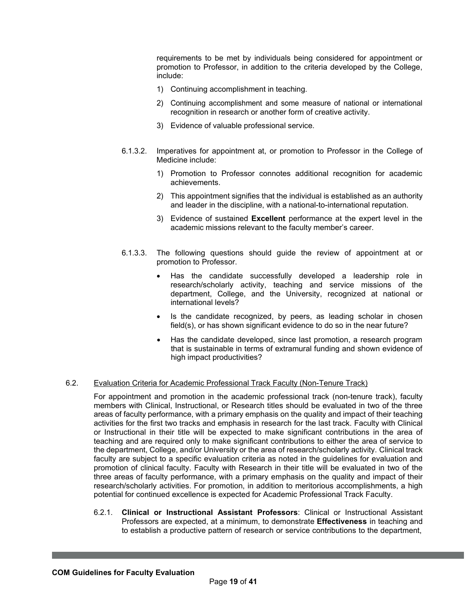requirements to be met by individuals being considered for appointment or promotion to Professor, in addition to the criteria developed by the College, include:

- 1) Continuing accomplishment in teaching.
- 2) Continuing accomplishment and some measure of national or international recognition in research or another form of creative activity.
- 3) Evidence of valuable professional service.
- 6.1.3.2. Imperatives for appointment at, or promotion to Professor in the College of Medicine include:
	- 1) Promotion to Professor connotes additional recognition for academic achievements.
	- 2) This appointment signifies that the individual is established as an authority and leader in the discipline, with a national-to-international reputation.
	- 3) Evidence of sustained **Excellent** performance at the expert level in the academic missions relevant to the faculty member's career.
- 6.1.3.3. The following questions should guide the review of appointment at or promotion to Professor.
	- Has the candidate successfully developed a leadership role in research/scholarly activity, teaching and service missions of the department, College, and the University, recognized at national or international levels?
	- Is the candidate recognized, by peers, as leading scholar in chosen field(s), or has shown significant evidence to do so in the near future?
	- Has the candidate developed, since last promotion, a research program that is sustainable in terms of extramural funding and shown evidence of high impact productivities?

### 6.2. Evaluation Criteria for Academic Professional Track Faculty (Non-Tenure Track)

For appointment and promotion in the academic professional track (non-tenure track), faculty members with Clinical, Instructional, or Research titles should be evaluated in two of the three areas of faculty performance, with a primary emphasis on the quality and impact of their teaching activities for the first two tracks and emphasis in research for the last track. Faculty with Clinical or Instructional in their title will be expected to make significant contributions in the area of teaching and are required only to make significant contributions to either the area of service to the department, College, and/or University or the area of research/scholarly activity. Clinical track faculty are subject to a specific evaluation criteria as noted in the guidelines for evaluation and promotion of clinical faculty. Faculty with Research in their title will be evaluated in two of the three areas of faculty performance, with a primary emphasis on the quality and impact of their research/scholarly activities. For promotion, in addition to meritorious accomplishments, a high potential for continued excellence is expected for Academic Professional Track Faculty.

6.2.1. **Clinical or Instructional Assistant Professors**: Clinical or Instructional Assistant Professors are expected, at a minimum, to demonstrate **Effectiveness** in teaching and to establish a productive pattern of research or service contributions to the department,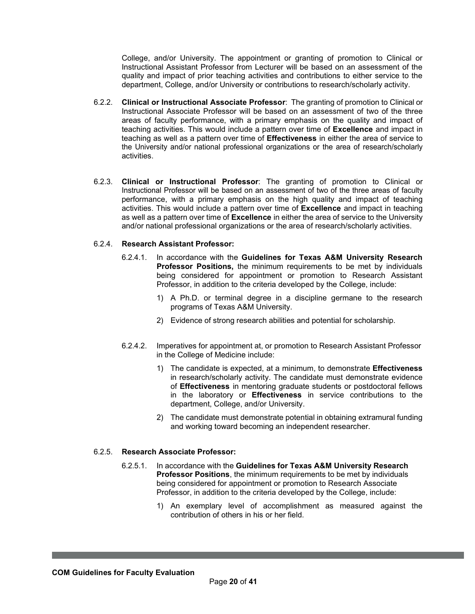College, and/or University. The appointment or granting of promotion to Clinical or Instructional Assistant Professor from Lecturer will be based on an assessment of the quality and impact of prior teaching activities and contributions to either service to the department, College, and/or University or contributions to research/scholarly activity.

- 6.2.2. **Clinical or Instructional Associate Professor**: The granting of promotion to Clinical or Instructional Associate Professor will be based on an assessment of two of the three areas of faculty performance, with a primary emphasis on the quality and impact of teaching activities. This would include a pattern over time of **Excellence** and impact in teaching as well as a pattern over time of **Effectiveness** in either the area of service to the University and/or national professional organizations or the area of research/scholarly activities.
- 6.2.3. **Clinical or Instructional Professor**: The granting of promotion to Clinical or Instructional Professor will be based on an assessment of two of the three areas of faculty performance, with a primary emphasis on the high quality and impact of teaching activities. This would include a pattern over time of **Excellence** and impact in teaching as well as a pattern over time of **Excellence** in either the area of service to the University and/or national professional organizations or the area of research/scholarly activities.

### 6.2.4. **Research Assistant Professor:**

- 6.2.4.1. In accordance with the **Guidelines for Texas A&M University Research Professor Positions,** the minimum requirements to be met by individuals being considered for appointment or promotion to Research Assistant Professor, in addition to the criteria developed by the College, include:
	- 1) A Ph.D. or terminal degree in a discipline germane to the research programs of Texas A&M University.
	- 2) Evidence of strong research abilities and potential for scholarship.
- 6.2.4.2. Imperatives for appointment at, or promotion to Research Assistant Professor in the College of Medicine include:
	- 1) The candidate is expected, at a minimum, to demonstrate **Effectiveness** in research/scholarly activity. The candidate must demonstrate evidence of **Effectiveness** in mentoring graduate students or postdoctoral fellows in the laboratory or **Effectiveness** in service contributions to the department, College, and/or University.
	- 2) The candidate must demonstrate potential in obtaining extramural funding and working toward becoming an independent researcher.

#### 6.2.5. **Research Associate Professor:**

- 6.2.5.1. In accordance with the **Guidelines for Texas A&M University Research Professor Positions**, the minimum requirements to be met by individuals being considered for appointment or promotion to Research Associate Professor, in addition to the criteria developed by the College, include:
	- 1) An exemplary level of accomplishment as measured against the contribution of others in his or her field.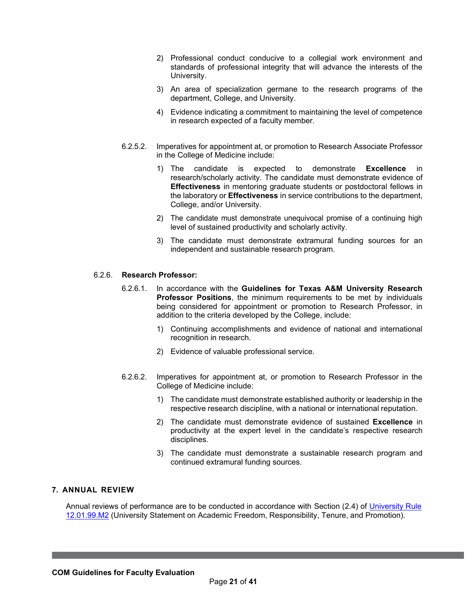- 2) Professional conduct conducive to a collegial work environment and standards of professional integrity that will advance the interests of the University.
- 3) An area of specialization germane to the research programs of the department, College, and University.
- 4) Evidence indicating a commitment to maintaining the level of competence in research expected of a faculty member.
- 6.2.5.2. Imperatives for appointment at, or promotion to Research Associate Professor in the College of Medicine include:
	- 1) The candidate is expected to demonstrate **Excellence** in research/scholarly activity. The candidate must demonstrate evidence of **Effectiveness** in mentoring graduate students or postdoctoral fellows in the laboratory or **Effectiveness** in service contributions to the department, College, and/or University.
	- 2) The candidate must demonstrate unequivocal promise of a continuing high level of sustained productivity and scholarly activity.
	- 3) The candidate must demonstrate extramural funding sources for an independent and sustainable research program.

### 6.2.6. **Research Professor:**

- 6.2.6.1. In accordance with the **Guidelines for Texas A&M University Research Professor Positions**, the minimum requirements to be met by individuals being considered for appointment or promotion to Research Professor, in addition to the criteria developed by the College, include:
	- 1) Continuing accomplishments and evidence of national and international recognition in research.
	- 2) Evidence of valuable professional service.
- 6.2.6.2. Imperatives for appointment at, or promotion to Research Professor in the College of Medicine include:
	- 1) The candidate must demonstrate established authority or leadership in the respective research discipline, with a national or international reputation.
	- 2) The candidate must demonstrate evidence of sustained **Excellence** in productivity at the expert level in the candidate's respective research disciplines.
	- 3) The candidate must demonstrate a sustainable research program and continued extramural funding sources.

#### <span id="page-20-0"></span>**7. ANNUAL REVIEW**

Annual reviews of performance are to be conducted in accordance with Section (2.4) of [University](https://rules-saps.tamu.edu/rules-saps-library/) Rule [12.01.99.M2](https://rules-saps.tamu.edu/PDFs/12.01.99.M2.pdf) (University Statement on Academic Freedom, Responsibility, Tenure, and Promotion).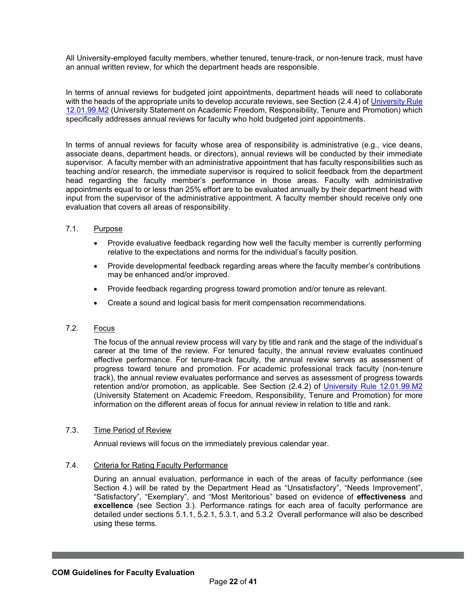All University-employed faculty members, whether tenured, tenure-track, or non-tenure track, must have an annual written review, for which the department heads are responsible.

In terms of annual reviews for budgeted joint appointments, department heads will need to collaborate with the heads of the appropriate units to develop accurate reviews, see Section (2.4.4) of [University](https://rules-saps.tamu.edu/rules-saps-library/) Rule [12.01.99.M2](https://rules-saps.tamu.edu/PDFs/12.01.99.M2.pdf) (University Statement on Academic Freedom, Responsibility, Tenure and Promotion) which specifically addresses annual reviews for faculty who hold budgeted joint appointments.

In terms of annual reviews for faculty whose area of responsibility is administrative (e.g., vice deans, associate deans, department heads, or directors), annual reviews will be conducted by their immediate supervisor. A faculty member with an administrative appointment that has faculty responsibilities such as teaching and/or research, the immediate supervisor is required to solicit feedback from the department head regarding the faculty member's performance in those areas. Faculty with administrative appointments equal to or less than 25% effort are to be evaluated annually by their department head with input from the supervisor of the administrative appointment. A faculty member should receive only one evaluation that covers all areas of responsibility.

## 7.1. Purpose

- Provide evaluative feedback regarding how well the faculty member is currently performing relative to the expectations and norms for the individual's faculty position.
- Provide developmental feedback regarding areas where the faculty member's contributions may be enhanced and/or improved.
- Provide feedback regarding progress toward promotion and/or tenure as relevant.
- Create a sound and logical basis for merit compensation recommendations.

## 7.2. Focus

The focus of the annual review process will vary by title and rank and the stage of the individual's career at the time of the review. For tenured faculty, the annual review evaluates continued effective performance. For tenure-track faculty, the annual review serves as assessment of progress toward tenure and promotion. For academic professional track faculty (non-tenure track), the annual review evaluates performance and serves as assessment of progress towards retention and/or promotion, as applicable. See Section (2.4.2) of [University Rule 12.01.99.M2](https://rules-saps.tamu.edu/rules-saps-library/) (University Statement on Academic Freedom, Responsibility, Tenure and Promotion) for more information on the different areas of focus for annual review in relation to title and rank.

### 7.3. Time Period of Review

Annual reviews will focus on the immediately previous calendar year.

### 7.4. Criteria for Rating Faculty Performance

During an annual evaluation, performance in each of the areas of faculty performance (see Section 4.) will be rated by the Department Head as "Unsatisfactory", "Needs Improvement", "Satisfactory", "Exemplary", and "Most Meritorious" based on evidence of **effectiveness** and **excellence** (see Section 3.). Performance ratings for each area of faculty performance are detailed under sections 5.1.1, 5.2.1, 5.3.1, and 5.3.2 Overall performance will also be described using these terms.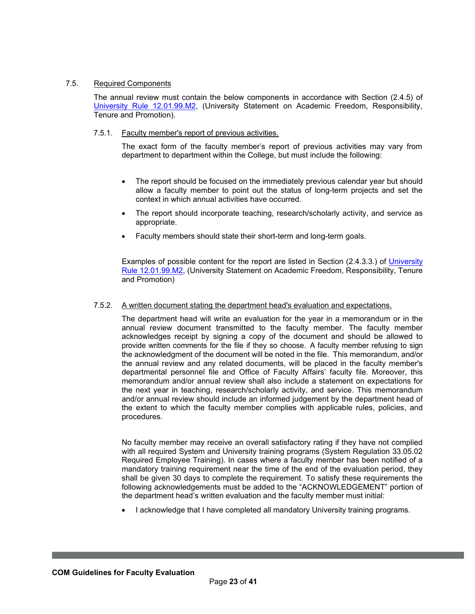## 7.5. Required Components

The annual review must contain the below components in accordance with Section (2.4.5) of University Rule [12.01.99.M2,](https://rules-saps.tamu.edu/rules-saps-library/) (University Statement on Academic Freedom, Responsibility, Tenure and Promotion).

## 7.5.1. Faculty member's report of previous activities.

The exact form of the faculty member's report of previous activities may vary from department to department within the College, but must include the following:

- The report should be focused on the immediately previous calendar year but should allow a faculty member to point out the status of long-term projects and set the context in which annual activities have occurred.
- The report should incorporate teaching, research/scholarly activity, and service as appropriate.
- Faculty members should state their short-term and long-term goals.

Examples of possible content for the report are listed in Section (2.4.3.3.) of [University](https://rules-saps.tamu.edu/rules-saps-library/) [Rule 12.01.99.M2, \(](https://rules-saps.tamu.edu/PDFs/12.01.99.M2.pdf)University Statement on Academic Freedom, Responsibility, Tenure and Promotion)

## 7.5.2. A written document stating the department head's evaluation and expectations.

The department head will write an evaluation for the year in a memorandum or in the annual review document transmitted to the faculty member. The faculty member acknowledges receipt by signing a copy of the document and should be allowed to provide written comments for the file if they so choose. A faculty member refusing to sign the acknowledgment of the document will be noted in the file. This memorandum, and/or the annual review and any related documents, will be placed in the faculty member's departmental personnel file and Office of Faculty Affairs' faculty file. Moreover, this memorandum and/or annual review shall also include a statement on expectations for the next year in teaching, research/scholarly activity, and service. This memorandum and/or annual review should include an informed judgement by the department head of the extent to which the faculty member complies with applicable rules, policies, and procedures.

No faculty member may receive an overall satisfactory rating if they have not complied with all required System and University training programs (System Regulation 33.05.02 Required Employee Training). In cases where a faculty member has been notified of a mandatory training requirement near the time of the end of the evaluation period, they shall be given 30 days to complete the requirement. To satisfy these requirements the following acknowledgements must be added to the "ACKNOWLEDGEMENT" portion of the department head's written evaluation and the faculty member must initial:

• I acknowledge that I have completed all mandatory University training programs.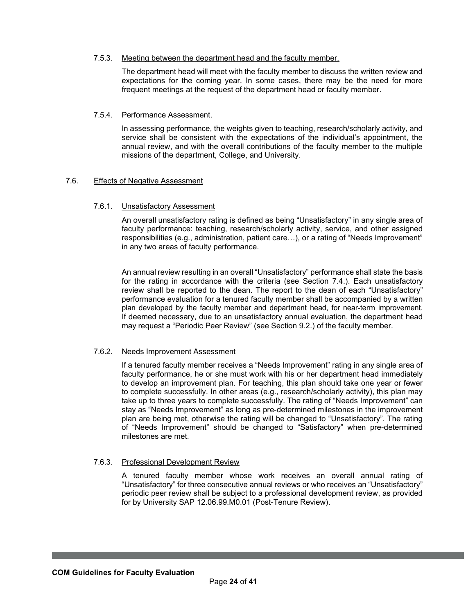### 7.5.3. Meeting between the department head and the faculty member.

The department head will meet with the faculty member to discuss the written review and expectations for the coming year. In some cases, there may be the need for more frequent meetings at the request of the department head or faculty member.

## 7.5.4. Performance Assessment.

In assessing performance, the weights given to teaching, research/scholarly activity, and service shall be consistent with the expectations of the individual's appointment, the annual review, and with the overall contributions of the faculty member to the multiple missions of the department, College, and University.

## 7.6. Effects of Negative Assessment

## 7.6.1. Unsatisfactory Assessment

An overall unsatisfactory rating is defined as being "Unsatisfactory" in any single area of faculty performance: teaching, research/scholarly activity, service, and other assigned responsibilities (e.g., administration, patient care…), or a rating of "Needs Improvement" in any two areas of faculty performance.

An annual review resulting in an overall "Unsatisfactory" performance shall state the basis for the rating in accordance with the criteria (see Section 7.4.). Each unsatisfactory review shall be reported to the dean. The report to the dean of each "Unsatisfactory" performance evaluation for a tenured faculty member shall be accompanied by a written plan developed by the faculty member and department head, for near-term improvement. If deemed necessary, due to an unsatisfactory annual evaluation, the department head may request a "Periodic Peer Review" (see Section 9.2.) of the faculty member.

### 7.6.2. Needs Improvement Assessment

If a tenured faculty member receives a "Needs Improvement" rating in any single area of faculty performance, he or she must work with his or her department head immediately to develop an improvement plan. For teaching, this plan should take one year or fewer to complete successfully. In other areas (e.g., research/scholarly activity), this plan may take up to three years to complete successfully. The rating of "Needs Improvement" can stay as "Needs Improvement" as long as pre-determined milestones in the improvement plan are being met, otherwise the rating will be changed to "Unsatisfactory". The rating of "Needs Improvement" should be changed to "Satisfactory" when pre-determined milestones are met.

### 7.6.3. Professional Development Review

A tenured faculty member whose work receives an overall annual rating of "Unsatisfactory" for three consecutive annual reviews or who receives an "Unsatisfactory" periodic peer review shall be subject to a professional development review, as provided for by University SAP 12.06.99.M0.01 (Post-Tenure Review).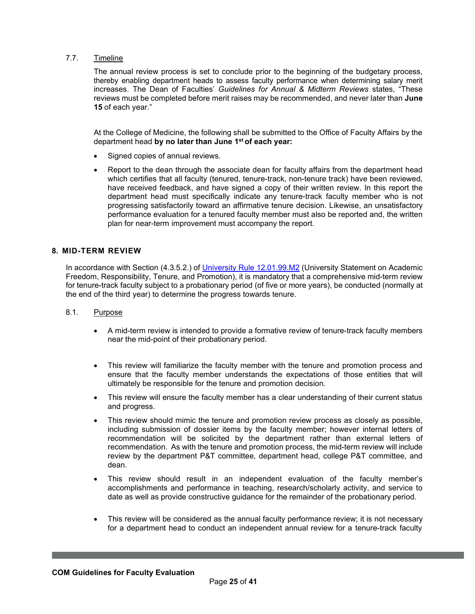## 7.7. Timeline

The annual review process is set to conclude prior to the beginning of the budgetary process, thereby enabling department heads to assess faculty performance when determining salary merit increases. The Dean of Faculties' *Guidelines for Annual & Midterm Reviews* states, "These reviews must be completed before merit raises may be recommended, and never later than **June 15** of each year."

At the College of Medicine, the following shall be submitted to the Office of Faculty Affairs by the department head **by no later than June 1st of each year:**

- Signed copies of annual reviews.
- Report to the dean through the associate dean for faculty affairs from the department head which certifies that all faculty (tenured, tenure-track, non-tenure track) have been reviewed, have received feedback, and have signed a copy of their written review. In this report the department head must specifically indicate any tenure-track faculty member who is not progressing satisfactorily toward an affirmative tenure decision. Likewise, an unsatisfactory performance evaluation for a tenured faculty member must also be reported and, the written plan for near-term improvement must accompany the report.

#### <span id="page-24-0"></span>**8. MID-TERM REVIEW**

In accordance with Section (4.3.5.2.) of University Rule [12.01.99.M2](https://rules-saps.tamu.edu/rules-saps-library/) (University Statement on Academic Freedom, Responsibility, Tenure, and Promotion), it is mandatory that a comprehensive mid-term review for tenure-track faculty subject to a probationary period (of five or more years), be conducted (normally at the end of the third year) to determine the progress towards tenure.

### 8.1. Purpose

- A mid-term review is intended to provide a formative review of tenure-track faculty members near the mid-point of their probationary period.
- This review will familiarize the faculty member with the tenure and promotion process and ensure that the faculty member understands the expectations of those entities that will ultimately be responsible for the tenure and promotion decision.
- This review will ensure the faculty member has a clear understanding of their current status and progress.
- This review should mimic the tenure and promotion review process as closely as possible, including submission of dossier items by the faculty member; however internal letters of recommendation will be solicited by the department rather than external letters of recommendation. As with the tenure and promotion process, the mid-term review will include review by the department P&T committee, department head, college P&T committee, and dean.
- This review should result in an independent evaluation of the faculty member's accomplishments and performance in teaching, research/scholarly activity, and service to date as well as provide constructive guidance for the remainder of the probationary period.
- This review will be considered as the annual faculty performance review; it is not necessary for a department head to conduct an independent annual review for a tenure-track faculty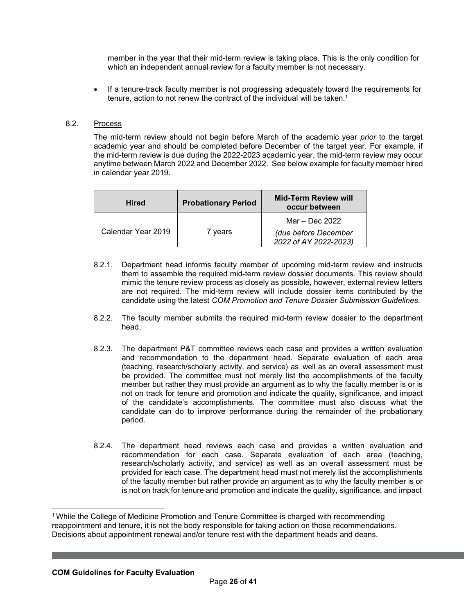member in the year that their mid-term review is taking place. This is the only condition for which an independent annual review for a faculty member is not necessary.

• If a tenure-track faculty member is not progressing adequately toward the requirements for tenure, action to not renew the contract of the individual will be taken.<sup>1</sup>

## 8.2. Process

The mid-term review should not begin before March of the academic year *prior* to the target academic year and should be completed before December of the target year. For example, if the mid-term review is due during the 2022-2023 academic year, the mid-term review may occur anytime between March 2022 and December 2022. See below example for faculty member hired in calendar year 2019.

| <b>Hired</b>       | <b>Probationary Period</b> | <b>Mid-Term Review will</b><br>occur between  |
|--------------------|----------------------------|-----------------------------------------------|
| Calendar Year 2019 | 7 years                    | Mar – Dec 2022                                |
|                    |                            | (due before December<br>2022 of AY 2022-2023) |

- 8.2.1. Department head informs faculty member of upcoming mid-term review and instructs them to assemble the required mid-term review dossier documents. This review should mimic the tenure review process as closely as possible, however, external review letters are not required. The mid-term review will include dossier items contributed by the candidate using the latest *COM Promotion and Tenure Dossier Submission Guidelines*.
- 8.2.2. The faculty member submits the required mid-term review dossier to the department head.
- 8.2.3. The department P&T committee reviews each case and provides a written evaluation and recommendation to the department head. Separate evaluation of each area (teaching, research/scholarly activity, and service) as well as an overall assessment must be provided. The committee must not merely list the accomplishments of the faculty member but rather they must provide an argument as to why the faculty member is or is not on track for tenure and promotion and indicate the quality, significance, and impact of the candidate's accomplishments. The committee must also discuss what the candidate can do to improve performance during the remainder of the probationary period.
- 8.2.4. The department head reviews each case and provides a written evaluation and recommendation for each case. Separate evaluation of each area (teaching, research/scholarly activity, and service) as well as an overall assessment must be provided for each case. The department head must not merely list the accomplishments of the faculty member but rather provide an argument as to why the faculty member is or is not on track for tenure and promotion and indicate the quality, significance, and impact

<sup>1</sup> While the College of Medicine Promotion and Tenure Committee is charged with recommending reappointment and tenure, it is not the body responsible for taking action on those recommendations. Decisions about appointment renewal and/or tenure rest with the department heads and deans.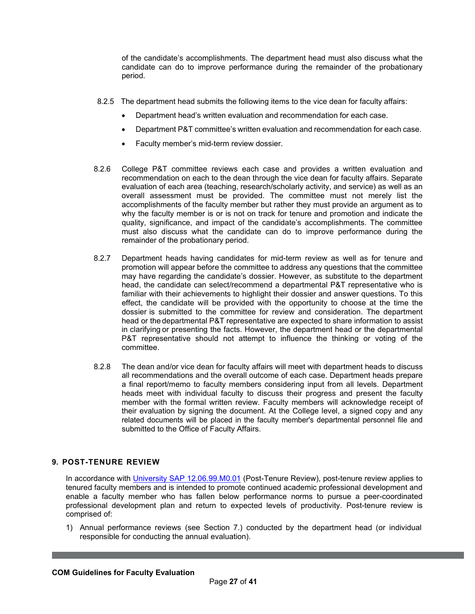of the candidate's accomplishments. The department head must also discuss what the candidate can do to improve performance during the remainder of the probationary period.

- 8.2.5 The department head submits the following items to the vice dean for faculty affairs:
	- Department head's written evaluation and recommendation for each case.
	- Department P&T committee's written evaluation and recommendation for each case.
	- Faculty member's mid-term review dossier.
- 8.2.6 College P&T committee reviews each case and provides a written evaluation and recommendation on each to the dean through the vice dean for faculty affairs. Separate evaluation of each area (teaching, research/scholarly activity, and service) as well as an overall assessment must be provided. The committee must not merely list the accomplishments of the faculty member but rather they must provide an argument as to why the faculty member is or is not on track for tenure and promotion and indicate the quality, significance, and impact of the candidate's accomplishments. The committee must also discuss what the candidate can do to improve performance during the remainder of the probationary period.
- 8.2.7 Department heads having candidates for mid-term review as well as for tenure and promotion will appear before the committee to address any questions that the committee may have regarding the candidate's dossier. However, as substitute to the department head, the candidate can select/recommend a departmental P&T representative who is familiar with their achievements to highlight their dossier and answer questions. To this effect, the candidate will be provided with the opportunity to choose at the time the dossier is submitted to the committee for review and consideration. The department head or the departmental P&T representative are expected to share information to assist in clarifying or presenting the facts. However, the department head or the departmental P&T representative should not attempt to influence the thinking or voting of the committee.
- 8.2.8 The dean and/or vice dean for faculty affairs will meet with department heads to discuss all recommendations and the overall outcome of each case. Department heads prepare a final report/memo to faculty members considering input from all levels. Department heads meet with individual faculty to discuss their progress and present the faculty member with the formal written review. Faculty members will acknowledge receipt of their evaluation by signing the document. At the College level, a signed copy and any related documents will be placed in the faculty member's departmental personnel file and submitted to the Office of Faculty Affairs.

## <span id="page-26-0"></span>**9. POST-TENURE REVIEW**

In accordance with [University SAP 12.06.99.M0.01](https://rules-saps.tamu.edu/rules-saps-library/) (Post-Tenure Review), post-tenure review applies to tenured faculty members and is intended to promote continued academic professional development and enable a faculty member who has fallen below performance norms to pursue a peer-coordinated professional development plan and return to expected levels of productivity. Post-tenure review is comprised of:

1) Annual performance reviews (see Section 7.) conducted by the department head (or individual responsible for conducting the annual evaluation).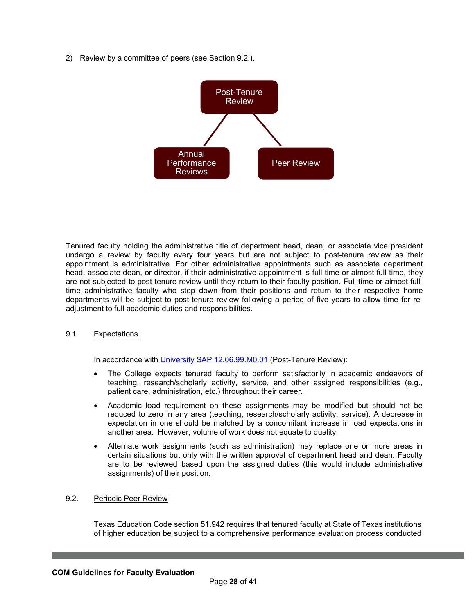2) Review by a committee of peers (see Section 9.2.).



Tenured faculty holding the administrative title of department head, dean, or associate vice president undergo a review by faculty every four years but are not subject to post-tenure review as their appointment is administrative. For other administrative appointments such as associate department head, associate dean, or director, if their administrative appointment is full-time or almost full-time, they are not subjected to post-tenure review until they return to their faculty position. Full time or almost fulltime administrative faculty who step down from their positions and return to their respective home departments will be subject to post-tenure review following a period of five years to allow time for readjustment to full academic duties and responsibilities.

## 9.1. Expectations

In accordance with University SAP [12.06.99.M0.01](https://rules-saps.tamu.edu/rules-saps-library/) (Post-Tenure Review):

- The College expects tenured faculty to perform satisfactorily in academic endeavors of teaching, research/scholarly activity, service, and other assigned responsibilities (e.g., patient care, administration, etc.) throughout their career.
- Academic load requirement on these assignments may be modified but should not be reduced to zero in any area (teaching, research/scholarly activity, service). A decrease in expectation in one should be matched by a concomitant increase in load expectations in another area. However, volume of work does not equate to quality.
- Alternate work assignments (such as administration) may replace one or more areas in certain situations but only with the written approval of department head and dean. Faculty are to be reviewed based upon the assigned duties (this would include administrative assignments) of their position.

# 9.2. Periodic Peer Review

Texas Education Code section 51.942 requires that tenured faculty at State of Texas institutions of higher education be subject to a comprehensive performance evaluation process conducted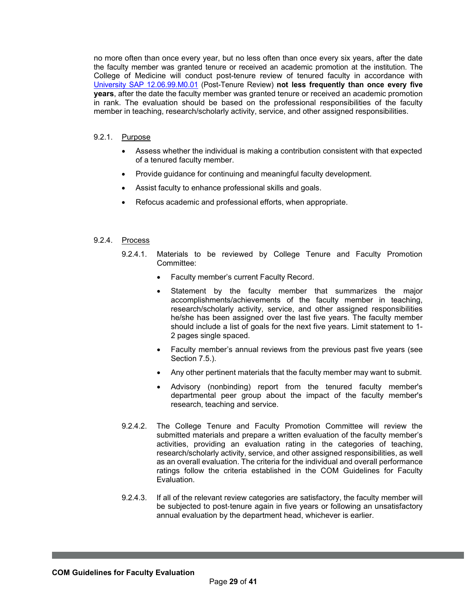no more often than once every year, but no less often than once every six years, after the date the faculty member was granted tenure or received an academic promotion at the institution. The College of Medicine will conduct post-tenure review of tenured faculty in accordance with [University SAP 12.06.99.M0.01](https://rules-saps.tamu.edu/PDFs/12.06.99.M0.01.pdf) (Post-Tenure Review) **not less frequently than once every five years**, after the date the faculty member was granted tenure or received an academic promotion in rank. The evaluation should be based on the professional responsibilities of the faculty member in teaching, research/scholarly activity, service, and other assigned responsibilities.

## 9.2.1. Purpose

- Assess whether the individual is making a contribution consistent with that expected of a tenured faculty member.
- Provide guidance for continuing and meaningful faculty development.
- Assist faculty to enhance professional skills and goals.
- Refocus academic and professional efforts, when appropriate.

## 9.2.4. Process

- 9.2.4.1. Materials to be reviewed by College Tenure and Faculty Promotion Committee:
	- Faculty member's current Faculty Record.
	- Statement by the faculty member that summarizes the major accomplishments/achievements of the faculty member in teaching, research/scholarly activity, service, and other assigned responsibilities he/she has been assigned over the last five years. The faculty member should include a list of goals for the next five years. Limit statement to 1- 2 pages single spaced.
	- Faculty member's annual reviews from the previous past five years (see Section 7.5.).
	- Any other pertinent materials that the faculty member may want to submit.
	- Advisory (nonbinding) report from the tenured faculty member's departmental peer group about the impact of the faculty member's research, teaching and service.
- 9.2.4.2. The College Tenure and Faculty Promotion Committee will review the submitted materials and prepare a written evaluation of the faculty member's activities, providing an evaluation rating in the categories of teaching, research/scholarly activity, service, and other assigned responsibilities, as well as an overall evaluation. The criteria for the individual and overall performance ratings follow the criteria established in the COM Guidelines for Faculty Evaluation.
- 9.2.4.3. If all of the relevant review categories are satisfactory, the faculty member will be subjected to post-tenure again in five years or following an unsatisfactory annual evaluation by the department head, whichever is earlier.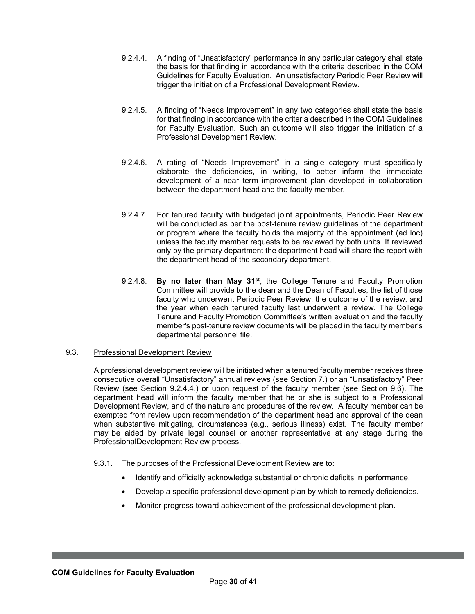- 9.2.4.4. A finding of "Unsatisfactory" performance in any particular category shall state the basis for that finding in accordance with the criteria described in the COM Guidelines for Faculty Evaluation. An unsatisfactory Periodic Peer Review will trigger the initiation of a Professional Development Review.
- 9.2.4.5. A finding of "Needs Improvement" in any two categories shall state the basis for that finding in accordance with the criteria described in the COM Guidelines for Faculty Evaluation. Such an outcome will also trigger the initiation of a Professional Development Review.
- 9.2.4.6. A rating of "Needs Improvement" in a single category must specifically elaborate the deficiencies, in writing, to better inform the immediate development of a near term improvement plan developed in collaboration between the department head and the faculty member.
- 9.2.4.7. For tenured faculty with budgeted joint appointments, Periodic Peer Review will be conducted as per the post-tenure review guidelines of the department or program where the faculty holds the majority of the appointment (ad loc) unless the faculty member requests to be reviewed by both units. If reviewed only by the primary department the department head will share the report with the department head of the secondary department.
- 9.2.4.8. **By no later than May 31st**, the College Tenure and Faculty Promotion Committee will provide to the dean and the Dean of Faculties, the list of those faculty who underwent Periodic Peer Review, the outcome of the review, and the year when each tenured faculty last underwent a review. The College Tenure and Faculty Promotion Committee's written evaluation and the faculty member's post-tenure review documents will be placed in the faculty member's departmental personnel file.

## 9.3. Professional Development Review

A professional development review will be initiated when a tenured faculty member receives three consecutive overall "Unsatisfactory" annual reviews (see Section 7.) or an "Unsatisfactory" Peer Review (see Section 9.2.4.4.) or upon request of the faculty member (see Section 9.6). The department head will inform the faculty member that he or she is subject to a Professional Development Review, and of the nature and procedures of the review. A faculty member can be exempted from review upon recommendation of the department head and approval of the dean when substantive mitigating, circumstances (e.g., serious illness) exist. The faculty member may be aided by private legal counsel or another representative at any stage during the ProfessionalDevelopment Review process.

### 9.3.1. The purposes of the Professional Development Review are to:

- Identify and officially acknowledge substantial or chronic deficits in performance.
- Develop a specific professional development plan by which to remedy deficiencies.
- Monitor progress toward achievement of the professional development plan.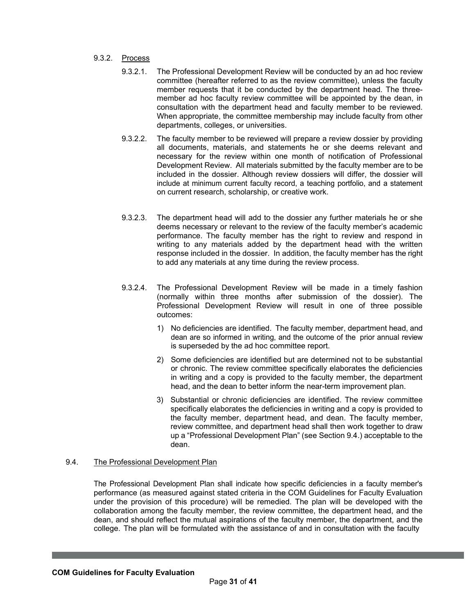## 9.3.2. Process

- 9.3.2.1. The Professional Development Review will be conducted by an ad hoc review committee (hereafter referred to as the review committee), unless the faculty member requests that it be conducted by the department head. The threemember ad hoc faculty review committee will be appointed by the dean, in consultation with the department head and faculty member to be reviewed. When appropriate, the committee membership may include faculty from other departments, colleges, or universities.
- 9.3.2.2. The faculty member to be reviewed will prepare a review dossier by providing all documents, materials, and statements he or she deems relevant and necessary for the review within one month of notification of Professional Development Review. All materials submitted by the faculty member are to be included in the dossier. Although review dossiers will differ, the dossier will include at minimum current faculty record, a teaching portfolio, and a statement on current research, scholarship, or creative work.
- 9.3.2.3. The department head will add to the dossier any further materials he or she deems necessary or relevant to the review of the faculty member's academic performance. The faculty member has the right to review and respond in writing to any materials added by the department head with the written response included in the dossier. In addition, the faculty member has the right to add any materials at any time during the review process.
- 9.3.2.4. The Professional Development Review will be made in a timely fashion (normally within three months after submission of the dossier). The Professional Development Review will result in one of three possible outcomes:
	- 1) No deficiencies are identified. The faculty member, department head, and dean are so informed in writing, and the outcome of the prior annual review is superseded by the ad hoc committee report.
	- 2) Some deficiencies are identified but are determined not to be substantial or chronic. The review committee specifically elaborates the deficiencies in writing and a copy is provided to the faculty member, the department head, and the dean to better inform the near-term improvement plan.
	- 3) Substantial or chronic deficiencies are identified. The review committee specifically elaborates the deficiencies in writing and a copy is provided to the faculty member, department head, and dean. The faculty member, review committee, and department head shall then work together to draw up a "Professional Development Plan" (see Section 9.4.) acceptable to the dean.

### 9.4. The Professional Development Plan

The Professional Development Plan shall indicate how specific deficiencies in a faculty member's performance (as measured against stated criteria in the COM Guidelines for Faculty Evaluation under the provision of this procedure) will be remedied. The plan will be developed with the collaboration among the faculty member, the review committee, the department head, and the dean, and should reflect the mutual aspirations of the faculty member, the department, and the college. The plan will be formulated with the assistance of and in consultation with the faculty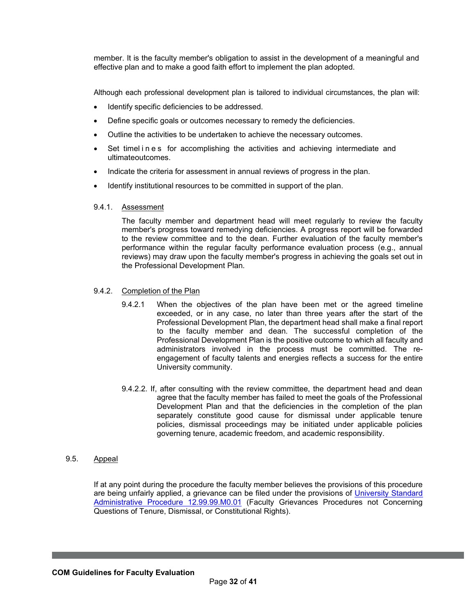member. It is the faculty member's obligation to assist in the development of a meaningful and effective plan and to make a good faith effort to implement the plan adopted.

Although each professional development plan is tailored to individual circumstances, the plan will:

- Identify specific deficiencies to be addressed.
- Define specific goals or outcomes necessary to remedy the deficiencies.
- Outline the activities to be undertaken to achieve the necessary outcomes.
- Set timelines for accomplishing the activities and achieving intermediate and ultimateoutcomes.
- Indicate the criteria for assessment in annual reviews of progress in the plan.
- Identify institutional resources to be committed in support of the plan.
- 9.4.1. Assessment

The faculty member and department head will meet regularly to review the faculty member's progress toward remedying deficiencies. A progress report will be forwarded to the review committee and to the dean. Further evaluation of the faculty member's performance within the regular faculty performance evaluation process (e.g., annual reviews) may draw upon the faculty member's progress in achieving the goals set out in the Professional Development Plan.

#### 9.4.2. Completion of the Plan

- 9.4.2.1 When the objectives of the plan have been met or the agreed timeline exceeded, or in any case, no later than three years after the start of the Professional Development Plan, the department head shall make a final report to the faculty member and dean. The successful completion of the Professional Development Plan is the positive outcome to which all faculty and administrators involved in the process must be committed. The reengagement of faculty talents and energies reflects a success for the entire University community.
- 9.4.2.2. If, after consulting with the review committee, the department head and dean agree that the faculty member has failed to meet the goals of the Professional Development Plan and that the deficiencies in the completion of the plan separately constitute good cause for dismissal under applicable tenure policies, dismissal proceedings may be initiated under applicable policies governing tenure, academic freedom, and academic responsibility.

## 9.5. Appeal

If at any point during the procedure the faculty member believes the provisions of this procedure are being unfairly applied, a grievance can be filed under the provisions of [University Standard](https://rules-saps.tamu.edu/PDFs/12.99.99.M0.01.pdf) Administrative Procedure [12.99.99.M0.01](https://rules-saps.tamu.edu/PDFs/12.99.99.M0.01.pdf) (Faculty Grievances Procedures not Concerning Questions of Tenure, Dismissal, or Constitutional Rights).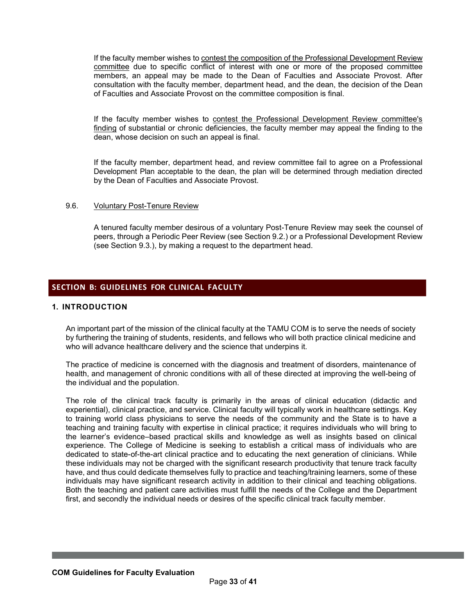If the faculty member wishes to contest the composition of the Professional Development Review committee due to specific conflict of interest with one or more of the proposed committee members, an appeal may be made to the Dean of Faculties and Associate Provost. After consultation with the faculty member, department head, and the dean, the decision of the Dean of Faculties and Associate Provost on the committee composition is final.

If the faculty member wishes to contest the Professional Development Review committee's finding of substantial or chronic deficiencies, the faculty member may appeal the finding to the dean, whose decision on such an appeal is final.

If the faculty member, department head, and review committee fail to agree on a Professional Development Plan acceptable to the dean, the plan will be determined through mediation directed by the Dean of Faculties and Associate Provost.

#### 9.6. Voluntary Post-Tenure Review

A tenured faculty member desirous of a voluntary Post-Tenure Review may seek the counsel of peers, through a Periodic Peer Review (see Section 9.2.) or a Professional Development Review (see Section 9.3.), by making a request to the department head.

## <span id="page-32-0"></span>**SECTION B: GUIDELINES FOR CLINICAL FACULTY**

## <span id="page-32-1"></span>**1. INTRODUCTION**

An important part of the mission of the clinical faculty at the TAMU COM is to serve the needs of society by furthering the training of students, residents, and fellows who will both practice clinical medicine and who will advance healthcare delivery and the science that underpins it.

The practice of medicine is concerned with the diagnosis and treatment of disorders, maintenance of health, and management of chronic conditions with all of these directed at improving the well-being of the individual and the population.

The role of the clinical track faculty is primarily in the areas of clinical education (didactic and experiential), clinical practice, and service. Clinical faculty will typically work in healthcare settings. Key to training world class physicians to serve the needs of the community and the State is to have a teaching and training faculty with expertise in clinical practice; it requires individuals who will bring to the learner's evidence–based practical skills and knowledge as well as insights based on clinical experience. The College of Medicine is seeking to establish a critical mass of individuals who are dedicated to state-of-the-art clinical practice and to educating the next generation of clinicians. While these individuals may not be charged with the significant research productivity that tenure track faculty have, and thus could dedicate themselves fully to practice and teaching/training learners, some of these individuals may have significant research activity in addition to their clinical and teaching obligations. Both the teaching and patient care activities must fulfill the needs of the College and the Department first, and secondly the individual needs or desires of the specific clinical track faculty member.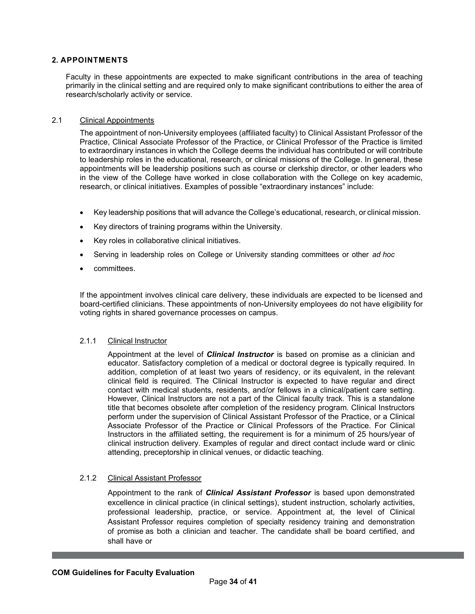## <span id="page-33-0"></span>**2. APPOINTMENTS**

Faculty in these appointments are expected to make significant contributions in the area of teaching primarily in the clinical setting and are required only to make significant contributions to either the area of research/scholarly activity or service.

## 2.1 Clinical Appointments

The appointment of non-University employees (affiliated faculty) to Clinical Assistant Professor of the Practice, Clinical Associate Professor of the Practice, or Clinical Professor of the Practice is limited to extraordinary instances in which the College deems the individual has contributed or will contribute to leadership roles in the educational, research, or clinical missions of the College. In general, these appointments will be leadership positions such as course or clerkship director, or other leaders who in the view of the College have worked in close collaboration with the College on key academic, research, or clinical initiatives. Examples of possible "extraordinary instances" include:

- Key leadership positions that will advance the College's educational, research, or clinical mission.
- Key directors of training programs within the University.
- Key roles in collaborative clinical initiatives.
- Serving in leadership roles on College or University standing committees or other *ad hoc*
- committees.

If the appointment involves clinical care delivery, these individuals are expected to be licensed and board-certified clinicians. These appointments of non-University employees do not have eligibility for voting rights in shared governance processes on campus.

## 2.1.1 Clinical Instructor

Appointment at the level of *Clinical Instructor* is based on promise as a clinician and educator. Satisfactory completion of a medical or doctoral degree is typically required. In addition, completion of at least two years of residency, or its equivalent, in the relevant clinical field is required. The Clinical Instructor is expected to have regular and direct contact with medical students, residents, and/or fellows in a clinical/patient care setting. However, Clinical Instructors are not a part of the Clinical faculty track. This is a standalone title that becomes obsolete after completion of the residency program. Clinical Instructors perform under the supervision of Clinical Assistant Professor of the Practice, or a Clinical Associate Professor of the Practice or Clinical Professors of the Practice. For Clinical Instructors in the affiliated setting, the requirement is for a minimum of 25 hours/year of clinical instruction delivery. Examples of regular and direct contact include ward or clinic attending, preceptorship in clinical venues, or didactic teaching.

## 2.1.2 Clinical Assistant Professor

Appointment to the rank of *Clinical Assistant Professor* is based upon demonstrated excellence in clinical practice (in clinical settings), student instruction, scholarly activities, professional leadership, practice, or service. Appointment at, the level of Clinical Assistant Professor requires completion of specialty residency training and demonstration of promise as both a clinician and teacher. The candidate shall be board certified, and shall have or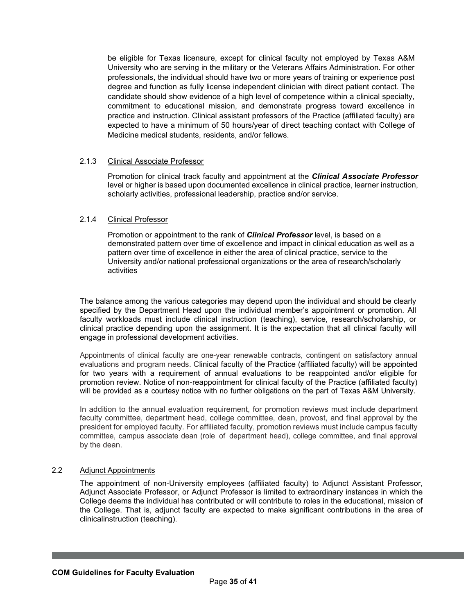be eligible for Texas licensure, except for clinical faculty not employed by Texas A&M University who are serving in the military or the Veterans Affairs Administration. For other professionals, the individual should have two or more years of training or experience post degree and function as fully license independent clinician with direct patient contact. The candidate should show evidence of a high level of competence within a clinical specialty, commitment to educational mission, and demonstrate progress toward excellence in practice and instruction. Clinical assistant professors of the Practice (affiliated faculty) are expected to have a minimum of 50 hours/year of direct teaching contact with College of Medicine medical students, residents, and/or fellows.

#### 2.1.3 Clinical Associate Professor

Promotion for clinical track faculty and appointment at the *Clinical Associate Professor* level or higher is based upon documented excellence in clinical practice, learner instruction, scholarly activities, professional leadership, practice and/or service.

#### 2.1.4 Clinical Professor

Promotion or appointment to the rank of *Clinical Professor* level, is based on a demonstrated pattern over time of excellence and impact in clinical education as well as a pattern over time of excellence in either the area of clinical practice, service to the University and/or national professional organizations or the area of research/scholarly activities

The balance among the various categories may depend upon the individual and should be clearly specified by the Department Head upon the individual member's appointment or promotion. All faculty workloads must include clinical instruction (teaching), service, research/scholarship, or clinical practice depending upon the assignment. It is the expectation that all clinical faculty will engage in professional development activities.

Appointments of clinical faculty are one-year renewable contracts, contingent on satisfactory annual evaluations and program needs. Clinical faculty of the Practice (affiliated faculty) will be appointed for two years with a requirement of annual evaluations to be reappointed and/or eligible for promotion review. Notice of non-reappointment for clinical faculty of the Practice (affiliated faculty) will be provided as a courtesy notice with no further obligations on the part of Texas A&M University.

In addition to the annual evaluation requirement, for promotion reviews must include department faculty committee, department head, college committee, dean, provost, and final approval by the president for employed faculty. For affiliated faculty, promotion reviews must include campus faculty committee, campus associate dean (role of department head), college committee, and final approval by the dean.

#### 2.2 Adjunct Appointments

The appointment of non-University employees (affiliated faculty) to Adjunct Assistant Professor, Adjunct Associate Professor, or Adjunct Professor is limited to extraordinary instances in which the College deems the individual has contributed or will contribute to roles in the educational, mission of the College. That is, adjunct faculty are expected to make significant contributions in the area of clinicalinstruction (teaching).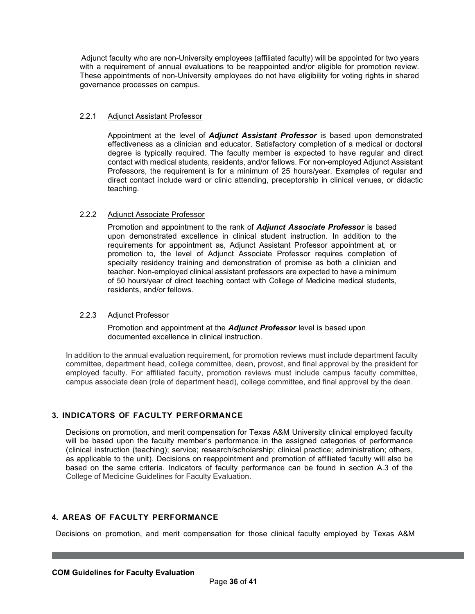Adjunct faculty who are non-University employees (affiliated faculty) will be appointed for two years with a requirement of annual evaluations to be reappointed and/or eligible for promotion review. These appointments of non-University employees do not have eligibility for voting rights in shared governance processes on campus.

## 2.2.1 Adjunct Assistant Professor

Appointment at the level of *Adjunct Assistant Professor* is based upon demonstrated effectiveness as a clinician and educator. Satisfactory completion of a medical or doctoral degree is typically required. The faculty member is expected to have regular and direct contact with medical students, residents, and/or fellows. For non-employed Adjunct Assistant Professors, the requirement is for a minimum of 25 hours/year. Examples of regular and direct contact include ward or clinic attending, preceptorship in clinical venues, or didactic teaching.

## 2.2.2 Adjunct Associate Professor

Promotion and appointment to the rank of *Adjunct Associate Professor* is based upon demonstrated excellence in clinical student instruction. In addition to the requirements for appointment as, Adjunct Assistant Professor appointment at, or promotion to, the level of Adjunct Associate Professor requires completion of specialty residency training and demonstration of promise as both a clinician and teacher. Non-employed clinical assistant professors are expected to have a minimum of 50 hours/year of direct teaching contact with College of Medicine medical students, residents, and/or fellows.

## 2.2.3 Adjunct Professor

Promotion and appointment at the *Adjunct Professor* level is based upon documented excellence in clinical instruction.

In addition to the annual evaluation requirement, for promotion reviews must include department faculty committee, department head, college committee, dean, provost, and final approval by the president for employed faculty. For affiliated faculty, promotion reviews must include campus faculty committee, campus associate dean (role of department head), college committee, and final approval by the dean.

# <span id="page-35-0"></span>**3. INDICATORS OF FACULTY PERFORMANCE**

Decisions on promotion, and merit compensation for Texas A&M University clinical employed faculty will be based upon the faculty member's performance in the assigned categories of performance (clinical instruction (teaching); service; research/scholarship; clinical practice; administration; others, as applicable to the unit). Decisions on reappointment and promotion of affiliated faculty will also be based on the same criteria. Indicators of faculty performance can be found in section A.3 of the College of Medicine Guidelines for Faculty Evaluation.

## <span id="page-35-1"></span>**4. AREAS OF FACULTY PERFORMANCE**

Decisions on promotion, and merit compensation for those clinical faculty employed by Texas A&M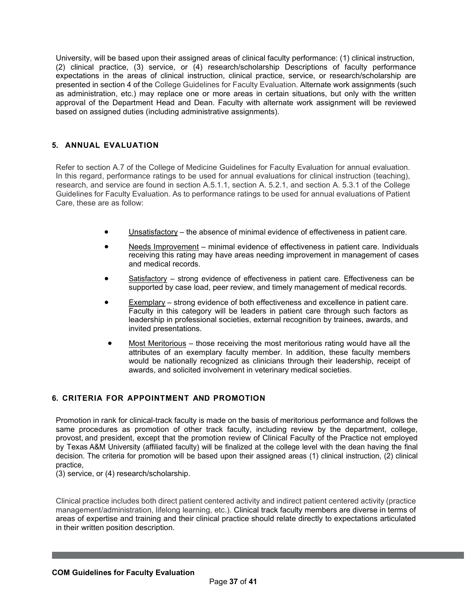University, will be based upon their assigned areas of clinical faculty performance: (1) clinical instruction, (2) clinical practice, (3) service, or (4) research/scholarship Descriptions of faculty performance expectations in the areas of clinical instruction, clinical practice, service, or research/scholarship are presented in section 4 of the College Guidelines for Faculty Evaluation. Alternate work assignments (such as administration, etc.) may replace one or more areas in certain situations, but only with the written approval of the Department Head and Dean. Faculty with alternate work assignment will be reviewed based on assigned duties (including administrative assignments).

## <span id="page-36-0"></span>**5. ANNUAL EVALUATION**

Refer to section A.7 of the College of Medicine Guidelines for Faculty Evaluation for annual evaluation. In this regard, performance ratings to be used for annual evaluations for clinical instruction (teaching), research, and service are found in section A.5.1.1, section A. 5.2.1, and section A. 5.3.1 of the College Guidelines for Faculty Evaluation. As to performance ratings to be used for annual evaluations of Patient Care, these are as follow:

- Unsatisfactory the absence of minimal evidence of effectiveness in patient care.
- Needs Improvement minimal evidence of effectiveness in patient care. Individuals receiving this rating may have areas needing improvement in management of cases and medical records.
- Satisfactory strong evidence of effectiveness in patient care. Effectiveness can be supported by case load, peer review, and timely management of medical records.
- Exemplary strong evidence of both effectiveness and excellence in patient care. Faculty in this category will be leaders in patient care through such factors as leadership in professional societies, external recognition by trainees, awards, and invited presentations.
- Most Meritorious those receiving the most meritorious rating would have all the attributes of an exemplary faculty member. In addition, these faculty members would be nationally recognized as clinicians through their leadership, receipt of awards, and solicited involvement in veterinary medical societies.

## <span id="page-36-1"></span>**6. CRITERIA FOR APPOINTMENT AND PROMOTION**

Promotion in rank for clinical-track faculty is made on the basis of meritorious performance and follows the same procedures as promotion of other track faculty, including review by the department, college, provost, and president, except that the promotion review of Clinical Faculty of the Practice not employed by Texas A&M University (affiliated faculty) will be finalized at the college level with the dean having the final decision. The criteria for promotion will be based upon their assigned areas (1) clinical instruction, (2) clinical practice,

(3) service, or (4) research/scholarship.

Clinical practice includes both direct patient centered activity and indirect patient centered activity (practice management/administration, lifelong learning, etc.). Clinical track faculty members are diverse in terms of areas of expertise and training and their clinical practice should relate directly to expectations articulated in their written position description.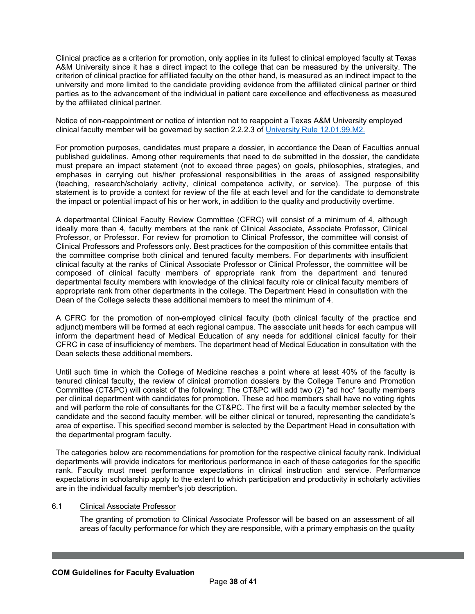Clinical practice as a criterion for promotion, only applies in its fullest to clinical employed faculty at Texas A&M University since it has a direct impact to the college that can be measured by the university. The criterion of clinical practice for affiliated faculty on the other hand, is measured as an indirect impact to the university and more limited to the candidate providing evidence from the affiliated clinical partner or third parties as to the advancement of the individual in patient care excellence and effectiveness as measured by the affiliated clinical partner.

Notice of non-reappointment or notice of intention not to reappoint a Texas A&M University employed clinical faculty member will be governed by section 2.2.2.3 of [University](https://rules-saps.tamu.edu/PDFs/12.01.99.M2.pdf) Rule [12.01.99.M2.](https://rules-saps.tamu.edu/PDFs/12.01.99.M2.pdf)

For promotion purposes, candidates must prepare a dossier, in accordance the Dean of Faculties annual published guidelines. Among other requirements that need to de submitted in the dossier, the candidate must prepare an impact statement (not to exceed three pages) on goals, philosophies, strategies, and emphases in carrying out his/her professional responsibilities in the areas of assigned responsibility (teaching, research/scholarly activity, clinical competence activity, or service). The purpose of this statement is to provide a context for review of the file at each level and for the candidate to demonstrate the impact or potential impact of his or her work, in addition to the quality and productivity overtime.

A departmental Clinical Faculty Review Committee (CFRC) will consist of a minimum of 4, although ideally more than 4, faculty members at the rank of Clinical Associate, Associate Professor, Clinical Professor, or Professor. For review for promotion to Clinical Professor, the committee will consist of Clinical Professors and Professors only. Best practices for the composition of this committee entails that the committee comprise both clinical and tenured faculty members. For departments with insufficient clinical faculty at the ranks of Clinical Associate Professor or Clinical Professor, the committee will be composed of clinical faculty members of appropriate rank from the department and tenured departmental faculty members with knowledge of the clinical faculty role or clinical faculty members of appropriate rank from other departments in the college. The Department Head in consultation with the Dean of the College selects these additional members to meet the minimum of 4.

A CFRC for the promotion of non-employed clinical faculty (both clinical faculty of the practice and adjunct) members will be formed at each regional campus. The associate unit heads for each campus will inform the department head of Medical Education of any needs for additional clinical faculty for their CFRC in case of insufficiency of members. The department head of Medical Education in consultation with the Dean selects these additional members.

Until such time in which the College of Medicine reaches a point where at least 40% of the faculty is tenured clinical faculty, the review of clinical promotion dossiers by the College Tenure and Promotion Committee (CT&PC) will consist of the following: The CT&PC will add two (2) "ad hoc" faculty members per clinical department with candidates for promotion. These ad hoc members shall have no voting rights and will perform the role of consultants for the CT&PC. The first will be a faculty member selected by the candidate and the second faculty member, will be either clinical or tenured, representing the candidate's area of expertise. This specified second member is selected by the Department Head in consultation with the departmental program faculty.

The categories below are recommendations for promotion for the respective clinical faculty rank. Individual departments will provide indicators for meritorious performance in each of these categories for the specific rank. Faculty must meet performance expectations in clinical instruction and service. Performance expectations in scholarship apply to the extent to which participation and productivity in scholarly activities are in the individual faculty member's job description.

## 6.1 Clinical Associate Professor

The granting of promotion to Clinical Associate Professor will be based on an assessment of all areas of faculty performance for which they are responsible, with a primary emphasis on the quality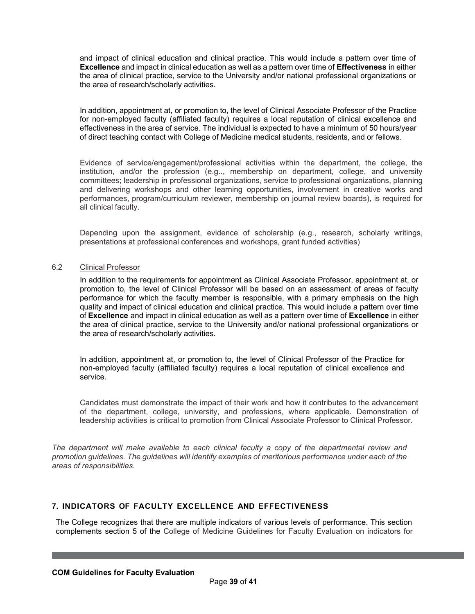and impact of clinical education and clinical practice. This would include a pattern over time of **Excellence** and impact in clinical education as well as a pattern over time of **Effectiveness** in either the area of clinical practice, service to the University and/or national professional organizations or the area of research/scholarly activities.

In addition, appointment at, or promotion to, the level of Clinical Associate Professor of the Practice for non-employed faculty (affiliated faculty) requires a local reputation of clinical excellence and effectiveness in the area of service. The individual is expected to have a minimum of 50 hours/year of direct teaching contact with College of Medicine medical students, residents, and or fellows.

Evidence of service/engagement/professional activities within the department, the college, the institution, and/or the profession (e.g.., membership on department, college, and university committees; leadership in professional organizations, service to professional organizations, planning and delivering workshops and other learning opportunities, involvement in creative works and performances, program/curriculum reviewer, membership on journal review boards), is required for all clinical faculty.

Depending upon the assignment, evidence of scholarship (e.g., research, scholarly writings, presentations at professional conferences and workshops, grant funded activities)

### 6.2 Clinical Professor

In addition to the requirements for appointment as Clinical Associate Professor, appointment at, or promotion to, the level of Clinical Professor will be based on an assessment of areas of faculty performance for which the faculty member is responsible, with a primary emphasis on the high quality and impact of clinical education and clinical practice. This would include a pattern over time of **Excellence** and impact in clinical education as well as a pattern over time of **Excellence** in either the area of clinical practice, service to the University and/or national professional organizations or the area of research/scholarly activities.

In addition, appointment at, or promotion to, the level of Clinical Professor of the Practice for non-employed faculty (affiliated faculty) requires a local reputation of clinical excellence and service.

Candidates must demonstrate the impact of their work and how it contributes to the advancement of the department, college, university, and professions, where applicable. Demonstration of leadership activities is critical to promotion from Clinical Associate Professor to Clinical Professor.

*The department will make available to each clinical faculty a copy of the departmental review and promotion guidelines. The guidelines will identify examples of meritorious performance under each of the areas of responsibilities.*

## <span id="page-38-0"></span>**7. INDICATORS OF FACULTY EXCELLENCE AND EFFECTIVENESS**

The College recognizes that there are multiple indicators of various levels of performance. This section complements section 5 of the College of Medicine Guidelines for Faculty Evaluation on indicators for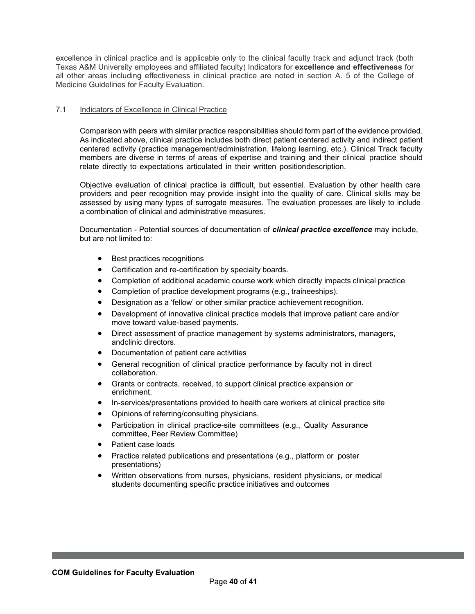excellence in clinical practice and is applicable only to the clinical faculty track and adjunct track (both Texas A&M University employees and affiliated faculty) Indicators for **excellence and effectiveness** for all other areas including effectiveness in clinical practice are noted in section A. 5 of the College of Medicine Guidelines for Faculty Evaluation.

### 7.1 Indicators of Excellence in Clinical Practice

Comparison with peers with similar practice responsibilities should form part of the evidence provided. As indicated above, clinical practice includes both direct patient centered activity and indirect patient centered activity (practice management/administration, lifelong learning, etc.). Clinical Track faculty members are diverse in terms of areas of expertise and training and their clinical practice should relate directly to expectations articulated in their written positiondescription.

Objective evaluation of clinical practice is difficult, but essential. Evaluation by other health care providers and peer recognition may provide insight into the quality of care. Clinical skills may be assessed by using many types of surrogate measures. The evaluation processes are likely to include a combination of clinical and administrative measures.

Documentation - Potential sources of documentation of *clinical practice excellence* may include, but are not limited to:

- Best practices recognitions
- Certification and re-certification by specialty boards.
- Completion of additional academic course work which directly impacts clinical practice
- Completion of practice development programs (e.g., traineeships).
- Designation as a 'fellow' or other similar practice achievement recognition.
- Development of innovative clinical practice models that improve patient care and/or move toward value-based payments.
- Direct assessment of practice management by systems administrators, managers, andclinic directors.
- Documentation of patient care activities
- General recognition of clinical practice performance by faculty not in direct collaboration.
- Grants or contracts, received, to support clinical practice expansion or enrichment.
- In-services/presentations provided to health care workers at clinical practice site
- Opinions of referring/consulting physicians.
- Participation in clinical practice-site committees (e.g., Quality Assurance committee, Peer Review Committee)
- Patient case loads
- Practice related publications and presentations (e.g., platform or poster presentations)
- Written observations from nurses, physicians, resident physicians, or medical students documenting specific practice initiatives and outcomes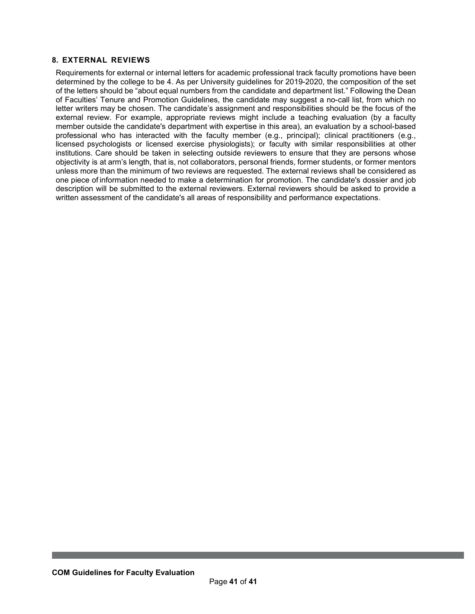## <span id="page-40-0"></span>**8. EXTERNAL REVIEWS**

Requirements for external or internal letters for academic professional track faculty promotions have been determined by the college to be 4. As per University guidelines for 2019-2020, the composition of the set of the letters should be "about equal numbers from the candidate and department list." Following the Dean of Faculties' Tenure and Promotion Guidelines, the candidate may suggest a no-call list, from which no letter writers may be chosen. The candidate's assignment and responsibilities should be the focus of the external review. For example, appropriate reviews might include a teaching evaluation (by a faculty member outside the candidate's department with expertise in this area), an evaluation by a school-based professional who has interacted with the faculty member (e.g., principal); clinical practitioners (e.g., licensed psychologists or licensed exercise physiologists); or faculty with similar responsibilities at other institutions. Care should be taken in selecting outside reviewers to ensure that they are persons whose objectivity is at arm's length, that is, not collaborators, personal friends, former students, or former mentors unless more than the minimum of two reviews are requested. The external reviews shall be considered as one piece of information needed to make a determination for promotion. The candidate's dossier and job description will be submitted to the external reviewers. External reviewers should be asked to provide a written assessment of the candidate's all areas of responsibility and performance expectations.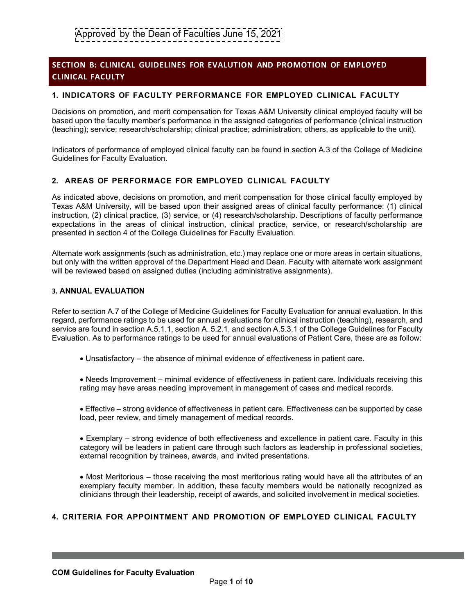# **SECTION B: CLINICAL GUIDELINES FOR EVALUTION AND PROMOTION OF EMPLOYED CLINICAL FACULTY**

## **1. INDICATORS OF FACULTY PERFORMANCE FOR EMPLOYED CLINICAL FACULTY**

Decisions on promotion, and merit compensation for Texas A&M University clinical employed faculty will be based upon the faculty member's performance in the assigned categories of performance (clinical instruction (teaching); service; research/scholarship; clinical practice; administration; others, as applicable to the unit).

Indicators of performance of employed clinical faculty can be found in section A.3 of the College of Medicine Guidelines for Faculty Evaluation.

## **2. AREAS OF PERFORMACE FOR EMPLOYED CLINICAL FACULTY**

As indicated above, decisions on promotion, and merit compensation for those clinical faculty employed by Texas A&M University, will be based upon their assigned areas of clinical faculty performance: (1) clinical instruction, (2) clinical practice, (3) service, or (4) research/scholarship. Descriptions of faculty performance expectations in the areas of clinical instruction, clinical practice, service, or research/scholarship are presented in section 4 of the College Guidelines for Faculty Evaluation.

Alternate work assignments (such as administration, etc.) may replace one or more areas in certain situations, but only with the written approval of the Department Head and Dean. Faculty with alternate work assignment will be reviewed based on assigned duties (including administrative assignments).

#### **3. ANNUAL EVALUATION**

Refer to section A.7 of the College of Medicine Guidelines for Faculty Evaluation for annual evaluation. In this regard, performance ratings to be used for annual evaluations for clinical instruction (teaching), research, and service are found in section A.5.1.1, section A. 5.2.1, and section A.5.3.1 of the College Guidelines for Faculty Evaluation. As to performance ratings to be used for annual evaluations of Patient Care, these are as follow:

• Unsatisfactory – the absence of minimal evidence of effectiveness in patient care.

• Needs Improvement – minimal evidence of effectiveness in patient care. Individuals receiving this rating may have areas needing improvement in management of cases and medical records.

• Effective – strong evidence of effectiveness in patient care. Effectiveness can be supported by case load, peer review, and timely management of medical records.

• Exemplary – strong evidence of both effectiveness and excellence in patient care. Faculty in this category will be leaders in patient care through such factors as leadership in professional societies, external recognition by trainees, awards, and invited presentations.

• Most Meritorious – those receiving the most meritorious rating would have all the attributes of an exemplary faculty member. In addition, these faculty members would be nationally recognized as clinicians through their leadership, receipt of awards, and solicited involvement in medical societies.

## **4. CRITERIA FOR APPOINTMENT AND PROMOTION OF EMPLOYED CLINICAL FACULTY**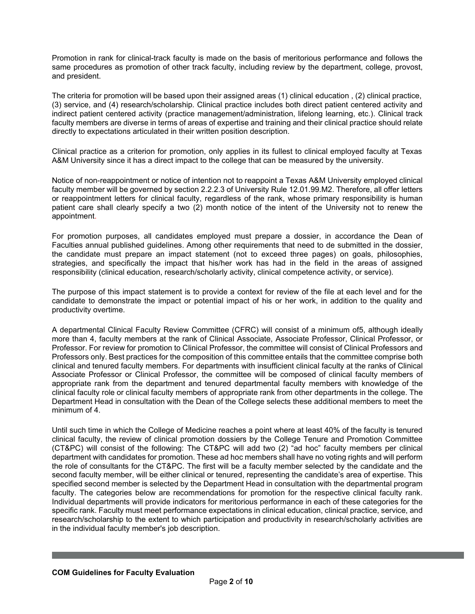Promotion in rank for clinical-track faculty is made on the basis of meritorious performance and follows the same procedures as promotion of other track faculty, including review by the department, college, provost, and president.

The criteria for promotion will be based upon their assigned areas (1) clinical education , (2) clinical practice, (3) service, and (4) research/scholarship. Clinical practice includes both direct patient centered activity and indirect patient centered activity (practice management/administration, lifelong learning, etc.). Clinical track faculty members are diverse in terms of areas of expertise and training and their clinical practice should relate directly to expectations articulated in their written position description.

Clinical practice as a criterion for promotion, only applies in its fullest to clinical employed faculty at Texas A&M University since it has a direct impact to the college that can be measured by the university.

Notice of non-reappointment or notice of intention not to reappoint a Texas A&M University employed clinical faculty member will be governed by section 2.2.2.3 of University Rule 12.01.99.M2. Therefore, all offer letters or reappointment letters for clinical faculty, regardless of the rank, whose primary responsibility is human patient care shall clearly specify a two (2) month notice of the intent of the University not to renew the appointment.

For promotion purposes, all candidates employed must prepare a dossier, in accordance the Dean of Faculties annual published guidelines. Among other requirements that need to de submitted in the dossier, the candidate must prepare an impact statement (not to exceed three pages) on goals, philosophies, strategies, and specifically the impact that his/her work has had in the field in the areas of assigned responsibility (clinical education, research/scholarly activity, clinical competence activity, or service).

The purpose of this impact statement is to provide a context for review of the file at each level and for the candidate to demonstrate the impact or potential impact of his or her work, in addition to the quality and productivity overtime.

A departmental Clinical Faculty Review Committee (CFRC) will consist of a minimum of5, although ideally more than 4, faculty members at the rank of Clinical Associate, Associate Professor, Clinical Professor, or Professor. For review for promotion to Clinical Professor, the committee will consist of Clinical Professors and Professors only. Best practices for the composition of this committee entails that the committee comprise both clinical and tenured faculty members. For departments with insufficient clinical faculty at the ranks of Clinical Associate Professor or Clinical Professor, the committee will be composed of clinical faculty members of appropriate rank from the department and tenured departmental faculty members with knowledge of the clinical faculty role or clinical faculty members of appropriate rank from other departments in the college. The Department Head in consultation with the Dean of the College selects these additional members to meet the minimum of 4.

Until such time in which the College of Medicine reaches a point where at least 40% of the faculty is tenured clinical faculty, the review of clinical promotion dossiers by the College Tenure and Promotion Committee (CT&PC) will consist of the following: The CT&PC will add two (2) "ad hoc" faculty members per clinical department with candidates for promotion. These ad hoc members shall have no voting rights and will perform the role of consultants for the CT&PC. The first will be a faculty member selected by the candidate and the second faculty member, will be either clinical or tenured, representing the candidate's area of expertise. This specified second member is selected by the Department Head in consultation with the departmental program faculty. The categories below are recommendations for promotion for the respective clinical faculty rank. Individual departments will provide indicators for meritorious performance in each of these categories for the specific rank. Faculty must meet performance expectations in clinical education, clinical practice, service, and research/scholarship to the extent to which participation and productivity in research/scholarly activities are in the individual faculty member's job description.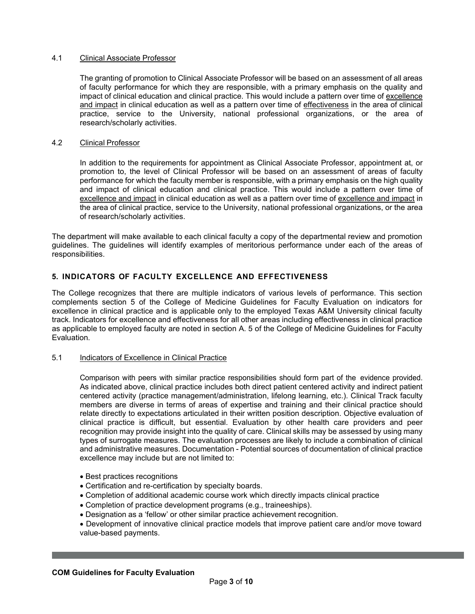## 4.1 Clinical Associate Professor

The granting of promotion to Clinical Associate Professor will be based on an assessment of all areas of faculty performance for which they are responsible, with a primary emphasis on the quality and impact of clinical education and clinical practice. This would include a pattern over time of excellence and impact in clinical education as well as a pattern over time of effectiveness in the area of clinical practice, service to the University, national professional organizations, or the area of research/scholarly activities.

## 4.2 Clinical Professor

In addition to the requirements for appointment as Clinical Associate Professor, appointment at, or promotion to, the level of Clinical Professor will be based on an assessment of areas of faculty performance for which the faculty member is responsible, with a primary emphasis on the high quality and impact of clinical education and clinical practice. This would include a pattern over time of excellence and impact in clinical education as well as a pattern over time of excellence and impact in the area of clinical practice, service to the University, national professional organizations, or the area of research/scholarly activities.

The department will make available to each clinical faculty a copy of the departmental review and promotion guidelines. The guidelines will identify examples of meritorious performance under each of the areas of responsibilities.

## **5. INDICATORS OF FACULTY EXCELLENCE AND EFFECTIVENESS**

The College recognizes that there are multiple indicators of various levels of performance. This section complements section 5 of the College of Medicine Guidelines for Faculty Evaluation on indicators for excellence in clinical practice and is applicable only to the employed Texas A&M University clinical faculty track. Indicators for excellence and effectiveness for all other areas including effectiveness in clinical practice as applicable to employed faculty are noted in section A. 5 of the College of Medicine Guidelines for Faculty Evaluation.

## 5.1 Indicators of Excellence in Clinical Practice

Comparison with peers with similar practice responsibilities should form part of the evidence provided. As indicated above, clinical practice includes both direct patient centered activity and indirect patient centered activity (practice management/administration, lifelong learning, etc.). Clinical Track faculty members are diverse in terms of areas of expertise and training and their clinical practice should relate directly to expectations articulated in their written position description. Objective evaluation of clinical practice is difficult, but essential. Evaluation by other health care providers and peer recognition may provide insight into the quality of care. Clinical skills may be assessed by using many types of surrogate measures. The evaluation processes are likely to include a combination of clinical and administrative measures. Documentation - Potential sources of documentation of clinical practice excellence may include but are not limited to:

- Best practices recognitions
- Certification and re-certification by specialty boards.
- Completion of additional academic course work which directly impacts clinical practice
- Completion of practice development programs (e.g., traineeships).
- Designation as a 'fellow' or other similar practice achievement recognition.
- Development of innovative clinical practice models that improve patient care and/or move toward value-based payments.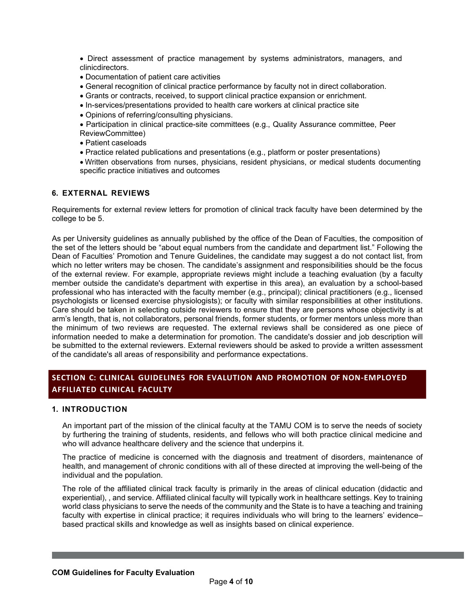• Direct assessment of practice management by systems administrators, managers, and clinicdirectors.

- Documentation of patient care activities
- General recognition of clinical practice performance by faculty not in direct collaboration.
- Grants or contracts, received, to support clinical practice expansion or enrichment.
- In-services/presentations provided to health care workers at clinical practice site
- Opinions of referring/consulting physicians.

• Participation in clinical practice-site committees (e.g., Quality Assurance committee, Peer ReviewCommittee)

- Patient caseloads
- Practice related publications and presentations (e.g., platform or poster presentations)

• Written observations from nurses, physicians, resident physicians, or medical students documenting specific practice initiatives and outcomes

## **6. EXTERNAL REVIEWS**

Requirements for external review letters for promotion of clinical track faculty have been determined by the college to be 5.

As per University guidelines as annually published by the office of the Dean of Faculties, the composition of the set of the letters should be "about equal numbers from the candidate and department list." Following the Dean of Faculties' Promotion and Tenure Guidelines, the candidate may suggest a do not contact list, from which no letter writers may be chosen. The candidate's assignment and responsibilities should be the focus of the external review. For example, appropriate reviews might include a teaching evaluation (by a faculty member outside the candidate's department with expertise in this area), an evaluation by a school-based professional who has interacted with the faculty member (e.g., principal); clinical practitioners (e.g., licensed psychologists or licensed exercise physiologists); or faculty with similar responsibilities at other institutions. Care should be taken in selecting outside reviewers to ensure that they are persons whose objectivity is at arm's length, that is, not collaborators, personal friends, former students, or former mentors unless more than the minimum of two reviews are requested. The external reviews shall be considered as one piece of information needed to make a determination for promotion. The candidate's dossier and job description will be submitted to the external reviewers. External reviewers should be asked to provide a written assessment of the candidate's all areas of responsibility and performance expectations.

# **SECTION C: CLINICAL GUIDELINES FOR EVALUTION AND PROMOTION OF NON-EMPLOYED AFFILIATED CLINICAL FACULTY**

## **1. INTRODUCTION**

An important part of the mission of the clinical faculty at the TAMU COM is to serve the needs of society by furthering the training of students, residents, and fellows who will both practice clinical medicine and who will advance healthcare delivery and the science that underpins it.

The practice of medicine is concerned with the diagnosis and treatment of disorders, maintenance of health, and management of chronic conditions with all of these directed at improving the well-being of the individual and the population.

The role of the affiliated clinical track faculty is primarily in the areas of clinical education (didactic and experiential), , and service. Affiliated clinical faculty will typically work in healthcare settings. Key to training world class physicians to serve the needs of the community and the State is to have a teaching and training faculty with expertise in clinical practice; it requires individuals who will bring to the learners' evidence– based practical skills and knowledge as well as insights based on clinical experience.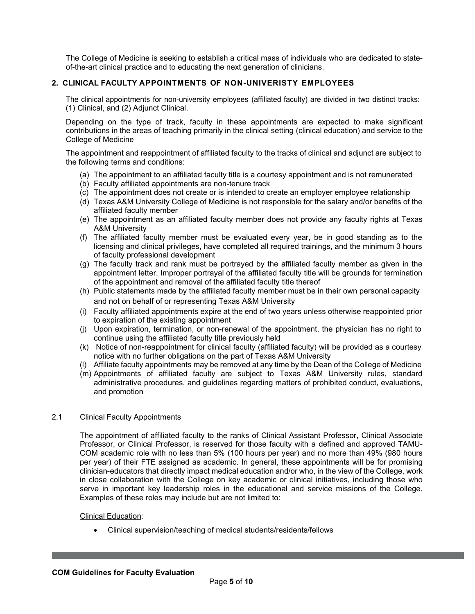The College of Medicine is seeking to establish a critical mass of individuals who are dedicated to stateof-the-art clinical practice and to educating the next generation of clinicians.

## **2. CLINICAL FACULTY APPOINTMENTS OF NON-UNIVERISTY EMPLOYEES**

The clinical appointments for non-university employees (affiliated faculty) are divided in two distinct tracks: (1) Clinical, and (2) Adjunct Clinical.

Depending on the type of track, faculty in these appointments are expected to make significant contributions in the areas of teaching primarily in the clinical setting (clinical education) and service to the College of Medicine

The appointment and reappointment of affiliated faculty to the tracks of clinical and adjunct are subject to the following terms and conditions:

- (a) The appointment to an affiliated faculty title is a courtesy appointment and is not remunerated
- (b) Faculty affiliated appointments are non-tenure track
- (c) The appointment does not create or is intended to create an employer employee relationship
- (d) Texas A&M University College of Medicine is not responsible for the salary and/or benefits of the affiliated faculty member
- (e) The appointment as an affiliated faculty member does not provide any faculty rights at Texas A&M University
- (f) The affiliated faculty member must be evaluated every year, be in good standing as to the licensing and clinical privileges, have completed all required trainings, and the minimum 3 hours of faculty professional development
- (g) The faculty track and rank must be portrayed by the affiliated faculty member as given in the appointment letter. Improper portrayal of the affiliated faculty title will be grounds for termination of the appointment and removal of the affiliated faculty title thereof
- (h) Public statements made by the affiliated faculty member must be in their own personal capacity and not on behalf of or representing Texas A&M University
- (i) Faculty affiliated appointments expire at the end of two years unless otherwise reappointed prior to expiration of the existing appointment
- (j) Upon expiration, termination, or non-renewal of the appointment, the physician has no right to continue using the affiliated faculty title previously held
- (k) Notice of non-reappointment for clinical faculty (affiliated faculty) will be provided as a courtesy notice with no further obligations on the part of Texas A&M University
- (l) Affiliate faculty appointments may be removed at any time by the Dean of the College of Medicine
- (m) Appointments of affiliated faculty are subject to Texas A&M University rules, standard administrative procedures, and guidelines regarding matters of prohibited conduct, evaluations, and promotion

#### 2.1 Clinical Faculty Appointments

The appointment of affiliated faculty to the ranks of Clinical Assistant Professor, Clinical Associate Professor, or Clinical Professor, is reserved for those faculty with a defined and approved TAMU-COM academic role with no less than 5% (100 hours per year) and no more than 49% (980 hours per year) of their FTE assigned as academic. In general, these appointments will be for promising clinician-educators that directly impact medical education and/or who, in the view of the College, work in close collaboration with the College on key academic or clinical initiatives, including those who serve in important key leadership roles in the educational and service missions of the College. Examples of these roles may include but are not limited to:

#### Clinical Education:

• Clinical supervision/teaching of medical students/residents/fellows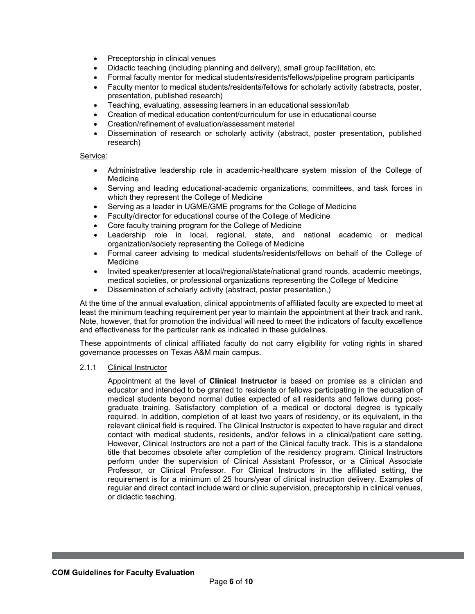- Preceptorship in clinical venues
- Didactic teaching (including planning and delivery), small group facilitation, etc.
- Formal faculty mentor for medical students/residents/fellows/pipeline program participants
- Faculty mentor to medical students/residents/fellows for scholarly activity (abstracts, poster, presentation, published research)
- Teaching, evaluating, assessing learners in an educational session/lab
- Creation of medical education content/curriculum for use in educational course
- Creation/refinement of evaluation/assessment material
- Dissemination of research or scholarly activity (abstract, poster presentation, published research)

#### Service:

- Administrative leadership role in academic-healthcare system mission of the College of Medicine
- Serving and leading educational-academic organizations, committees, and task forces in which they represent the College of Medicine
- Serving as a leader in UGME/GME programs for the College of Medicine
- Faculty/director for educational course of the College of Medicine
- Core faculty training program for the College of Medicine
- Leadership role in local, regional, state, and national academic or medical organization/society representing the College of Medicine
- Formal career advising to medical students/residents/fellows on behalf of the College of Medicine
- Invited speaker/presenter at local/regional/state/national grand rounds, academic meetings, medical societies, or professional organizations representing the College of Medicine
- Dissemination of scholarly activity (abstract, poster presentation,)

At the time of the annual evaluation, clinical appointments of affiliated faculty are expected to meet at least the minimum teaching requirement per year to maintain the appointment at their track and rank. Note, however, that for promotion the individual will need to meet the indicators of faculty excellence and effectiveness for the particular rank as indicated in these guidelines.

These appointments of clinical affiliated faculty do not carry eligibility for voting rights in shared governance processes on Texas A&M main campus.

### 2.1.1 Clinical Instructor

Appointment at the level of **Clinical Instructor** is based on promise as a clinician and educator and intended to be granted to residents or fellows participating in the education of medical students beyond normal duties expected of all residents and fellows during postgraduate training. Satisfactory completion of a medical or doctoral degree is typically required. In addition, completion of at least two years of residency, or its equivalent, in the relevant clinical field is required. The Clinical Instructor is expected to have regular and direct contact with medical students, residents, and/or fellows in a clinical/patient care setting. However, Clinical Instructors are not a part of the Clinical faculty track. This is a standalone title that becomes obsolete after completion of the residency program. Clinical Instructors perform under the supervision of Clinical Assistant Professor, or a Clinical Associate Professor, or Clinical Professor. For Clinical Instructors in the affiliated setting, the requirement is for a minimum of 25 hours/year of clinical instruction delivery. Examples of regular and direct contact include ward or clinic supervision, preceptorship in clinical venues, or didactic teaching.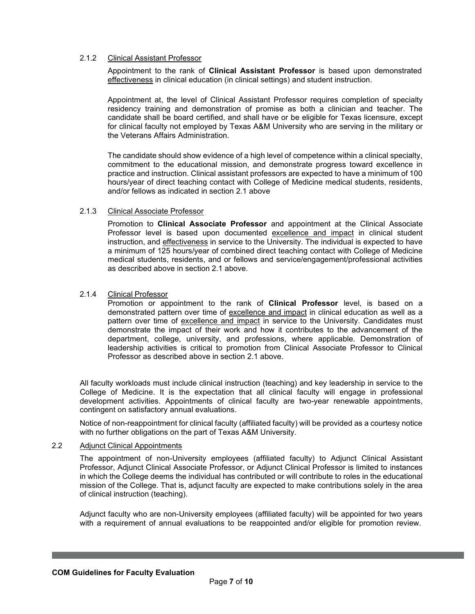## 2.1.2 Clinical Assistant Professor

Appointment to the rank of **Clinical Assistant Professor** is based upon demonstrated effectiveness in clinical education (in clinical settings) and student instruction.

Appointment at, the level of Clinical Assistant Professor requires completion of specialty residency training and demonstration of promise as both a clinician and teacher. The candidate shall be board certified, and shall have or be eligible for Texas licensure, except for clinical faculty not employed by Texas A&M University who are serving in the military or the Veterans Affairs Administration.

The candidate should show evidence of a high level of competence within a clinical specialty, commitment to the educational mission, and demonstrate progress toward excellence in practice and instruction. Clinical assistant professors are expected to have a minimum of 100 hours/year of direct teaching contact with College of Medicine medical students, residents, and/or fellows as indicated in section 2.1 above

### 2.1.3 Clinical Associate Professor

Promotion to **Clinical Associate Professor** and appointment at the Clinical Associate Professor level is based upon documented excellence and impact in clinical student instruction, and effectiveness in service to the University. The individual is expected to have a minimum of 125 hours/year of combined direct teaching contact with College of Medicine medical students, residents, and or fellows and service/engagement/professional activities as described above in section 2.1 above.

## 2.1.4 Clinical Professor

Promotion or appointment to the rank of **Clinical Professor** level, is based on a demonstrated pattern over time of excellence and impact in clinical education as well as a pattern over time of excellence and impact in service to the University. Candidates must demonstrate the impact of their work and how it contributes to the advancement of the department, college, university, and professions, where applicable. Demonstration of leadership activities is critical to promotion from Clinical Associate Professor to Clinical Professor as described above in section 2.1 above.

All faculty workloads must include clinical instruction (teaching) and key leadership in service to the College of Medicine. It is the expectation that all clinical faculty will engage in professional development activities. Appointments of clinical faculty are two-year renewable appointments, contingent on satisfactory annual evaluations.

Notice of non-reappointment for clinical faculty (affiliated faculty) will be provided as a courtesy notice with no further obligations on the part of Texas A&M University.

# 2.2 Adjunct Clinical Appointments

The appointment of non-University employees (affiliated faculty) to Adjunct Clinical Assistant Professor, Adjunct Clinical Associate Professor, or Adjunct Clinical Professor is limited to instances in which the College deems the individual has contributed or will contribute to roles in the educational mission of the College. That is, adjunct faculty are expected to make contributions solely in the area of clinical instruction (teaching).

Adjunct faculty who are non-University employees (affiliated faculty) will be appointed for two years with a requirement of annual evaluations to be reappointed and/or eligible for promotion review.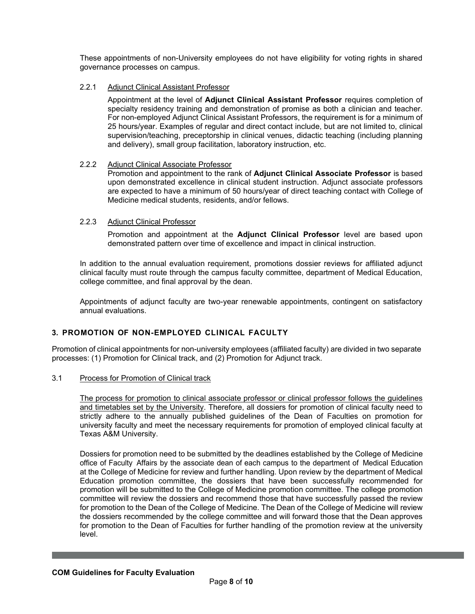These appointments of non-University employees do not have eligibility for voting rights in shared governance processes on campus.

## 2.2.1 Adjunct Clinical Assistant Professor

Appointment at the level of **Adjunct Clinical Assistant Professor** requires completion of specialty residency training and demonstration of promise as both a clinician and teacher. For non-employed Adjunct Clinical Assistant Professors, the requirement is for a minimum of 25 hours/year. Examples of regular and direct contact include, but are not limited to, clinical supervision/teaching, preceptorship in clinical venues, didactic teaching (including planning and delivery), small group facilitation, laboratory instruction, etc.

## 2.2.2 Adjunct Clinical Associate Professor

Promotion and appointment to the rank of **Adjunct Clinical Associate Professor** is based upon demonstrated excellence in clinical student instruction. Adjunct associate professors are expected to have a minimum of 50 hours/year of direct teaching contact with College of Medicine medical students, residents, and/or fellows.

## 2.2.3 Adjunct Clinical Professor

Promotion and appointment at the **Adjunct Clinical Professor** level are based upon demonstrated pattern over time of excellence and impact in clinical instruction.

In addition to the annual evaluation requirement, promotions dossier reviews for affiliated adjunct clinical faculty must route through the campus faculty committee, department of Medical Education, college committee, and final approval by the dean.

Appointments of adjunct faculty are two-year renewable appointments, contingent on satisfactory annual evaluations.

## **3. PROMOTION OF NON-EMPLOYED CLINICAL FACULTY**

Promotion of clinical appointments for non-university employees (affiliated faculty) are divided in two separate processes: (1) Promotion for Clinical track, and (2) Promotion for Adjunct track.

### 3.1 Process for Promotion of Clinical track

The process for promotion to clinical associate professor or clinical professor follows the guidelines and timetables set by the University. Therefore, all dossiers for promotion of clinical faculty need to strictly adhere to the annually published guidelines of the Dean of Faculties on promotion for university faculty and meet the necessary requirements for promotion of employed clinical faculty at Texas A&M University.

Dossiers for promotion need to be submitted by the deadlines established by the College of Medicine office of Faculty Affairs by the associate dean of each campus to the department of Medical Education at the College of Medicine for review and further handling. Upon review by the department of Medical Education promotion committee, the dossiers that have been successfully recommended for promotion will be submitted to the College of Medicine promotion committee. The college promotion committee will review the dossiers and recommend those that have successfully passed the review for promotion to the Dean of the College of Medicine. The Dean of the College of Medicine will review the dossiers recommended by the college committee and will forward those that the Dean approves for promotion to the Dean of Faculties for further handling of the promotion review at the university level.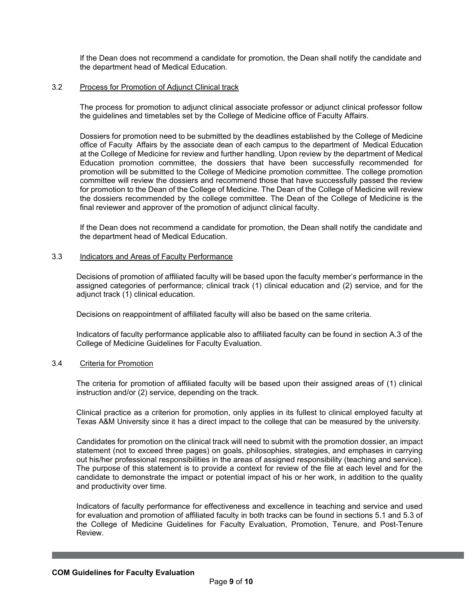If the Dean does not recommend a candidate for promotion, the Dean shall notify the candidate and the department head of Medical Education.

#### 3.2 Process for Promotion of Adjunct Clinical track

The process for promotion to adjunct clinical associate professor or adjunct clinical professor follow the guidelines and timetables set by the College of Medicine office of Faculty Affairs.

Dossiers for promotion need to be submitted by the deadlines established by the College of Medicine office of Faculty Affairs by the associate dean of each campus to the department of Medical Education at the College of Medicine for review and further handling. Upon review by the department of Medical Education promotion committee, the dossiers that have been successfully recommended for promotion will be submitted to the College of Medicine promotion committee. The college promotion committee will review the dossiers and recommend those that have successfully passed the review for promotion to the Dean of the College of Medicine. The Dean of the College of Medicine will review the dossiers recommended by the college committee. The Dean of the College of Medicine is the final reviewer and approver of the promotion of adjunct clinical faculty.

If the Dean does not recommend a candidate for promotion, the Dean shall notify the candidate and the department head of Medical Education.

#### 3.3 Indicators and Areas of Faculty Performance

Decisions of promotion of affiliated faculty will be based upon the faculty member's performance in the assigned categories of performance; clinical track (1) clinical education and (2) service, and for the adjunct track (1) clinical education.

Decisions on reappointment of affiliated faculty will also be based on the same criteria.

Indicators of faculty performance applicable also to affiliated faculty can be found in section A.3 of the College of Medicine Guidelines for Faculty Evaluation.

#### 3.4 Criteria for Promotion

The criteria for promotion of affiliated faculty will be based upon their assigned areas of (1) clinical instruction and/or (2) service, depending on the track.

Clinical practice as a criterion for promotion, only applies in its fullest to clinical employed faculty at Texas A&M University since it has a direct impact to the college that can be measured by the university.

Candidates for promotion on the clinical track will need to submit with the promotion dossier, an impact statement (not to exceed three pages) on goals, philosophies, strategies, and emphases in carrying out his/her professional responsibilities in the areas of assigned responsibility (teaching and service). The purpose of this statement is to provide a context for review of the file at each level and for the candidate to demonstrate the impact or potential impact of his or her work, in addition to the quality and productivity over time.

Indicators of faculty performance for effectiveness and excellence in teaching and service and used for evaluation and promotion of affiliated faculty in both tracks can be found in sections 5.1 and 5.3 of the College of Medicine Guidelines for Faculty Evaluation, Promotion, Tenure, and Post-Tenure Review.